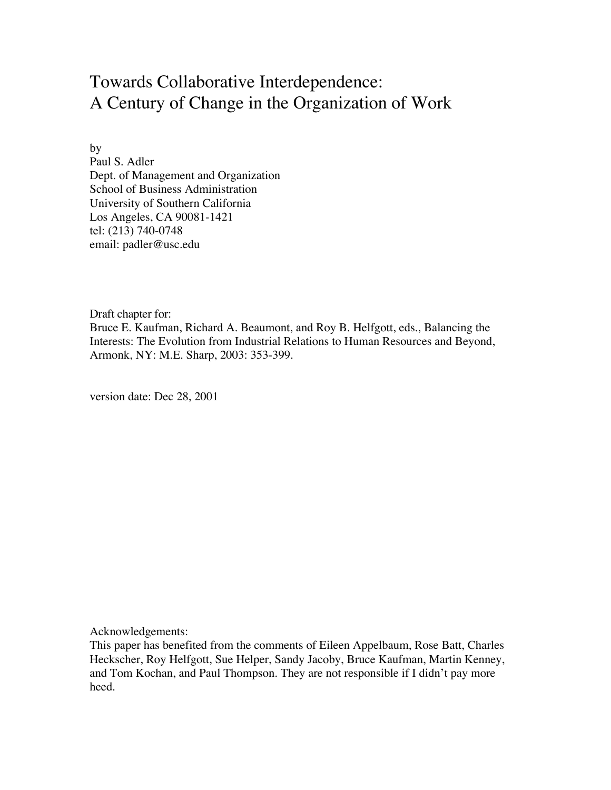# Towards Collaborative Interdependence: A Century of Change in the Organization of Work

by Paul S. Adler Dept. of Management and Organization School of Business Administration University of Southern California Los Angeles, CA 90081-1421 tel: (213) 740-0748 email: padler@usc.edu

Draft chapter for:

Bruce E. Kaufman, Richard A. Beaumont, and Roy B. Helfgott, eds., Balancing the Interests: The Evolution from Industrial Relations to Human Resources and Beyond, Armonk, NY: M.E. Sharp, 2003: 353-399.

version date: Dec 28, 2001

Acknowledgements:

This paper has benefited from the comments of Eileen Appelbaum, Rose Batt, Charles Heckscher, Roy Helfgott, Sue Helper, Sandy Jacoby, Bruce Kaufman, Martin Kenney, and Tom Kochan, and Paul Thompson. They are not responsible if I didn't pay more heed.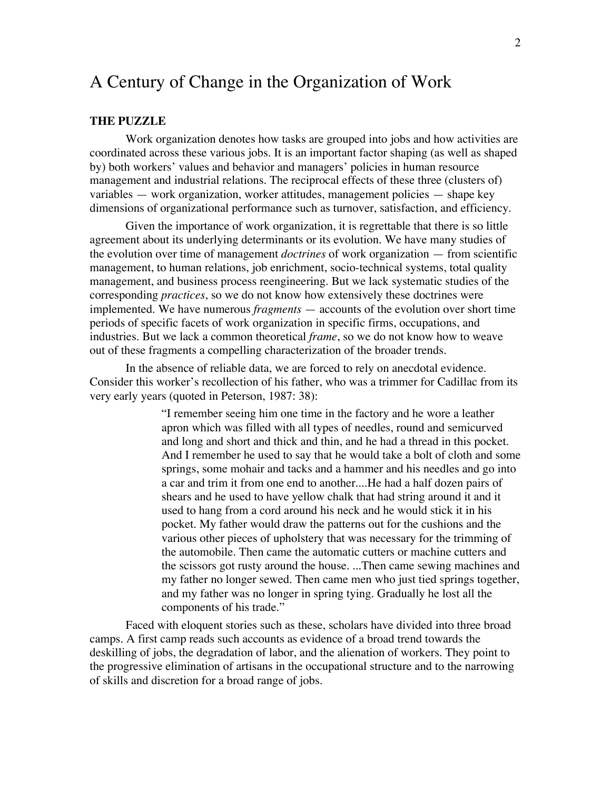## A Century of Change in the Organization of Work

## **THE PUZZLE**

Work organization denotes how tasks are grouped into jobs and how activities are coordinated across these various jobs. It is an important factor shaping (as well as shaped by) both workers' values and behavior and managers' policies in human resource management and industrial relations. The reciprocal effects of these three (clusters of) variables — work organization, worker attitudes, management policies — shape key dimensions of organizational performance such as turnover, satisfaction, and efficiency.

Given the importance of work organization, it is regrettable that there is so little agreement about its underlying determinants or its evolution. We have many studies of the evolution over time of management *doctrines* of work organization — from scientific management, to human relations, job enrichment, socio-technical systems, total quality management, and business process reengineering. But we lack systematic studies of the corresponding *practices*, so we do not know how extensively these doctrines were implemented. We have numerous *fragments* — accounts of the evolution over short time periods of specific facets of work organization in specific firms, occupations, and industries. But we lack a common theoretical *frame*, so we do not know how to weave out of these fragments a compelling characterization of the broader trends.

In the absence of reliable data, we are forced to rely on anecdotal evidence. Consider this worker's recollection of his father, who was a trimmer for Cadillac from its very early years (quoted in Peterson, 1987: 38):

> "I remember seeing him one time in the factory and he wore a leather apron which was filled with all types of needles, round and semicurved and long and short and thick and thin, and he had a thread in this pocket. And I remember he used to say that he would take a bolt of cloth and some springs, some mohair and tacks and a hammer and his needles and go into a car and trim it from one end to another....He had a half dozen pairs of shears and he used to have yellow chalk that had string around it and it used to hang from a cord around his neck and he would stick it in his pocket. My father would draw the patterns out for the cushions and the various other pieces of upholstery that was necessary for the trimming of the automobile. Then came the automatic cutters or machine cutters and the scissors got rusty around the house. ...Then came sewing machines and my father no longer sewed. Then came men who just tied springs together, and my father was no longer in spring tying. Gradually he lost all the components of his trade."

Faced with eloquent stories such as these, scholars have divided into three broad camps. A first camp reads such accounts as evidence of a broad trend towards the deskilling of jobs, the degradation of labor, and the alienation of workers. They point to the progressive elimination of artisans in the occupational structure and to the narrowing of skills and discretion for a broad range of jobs.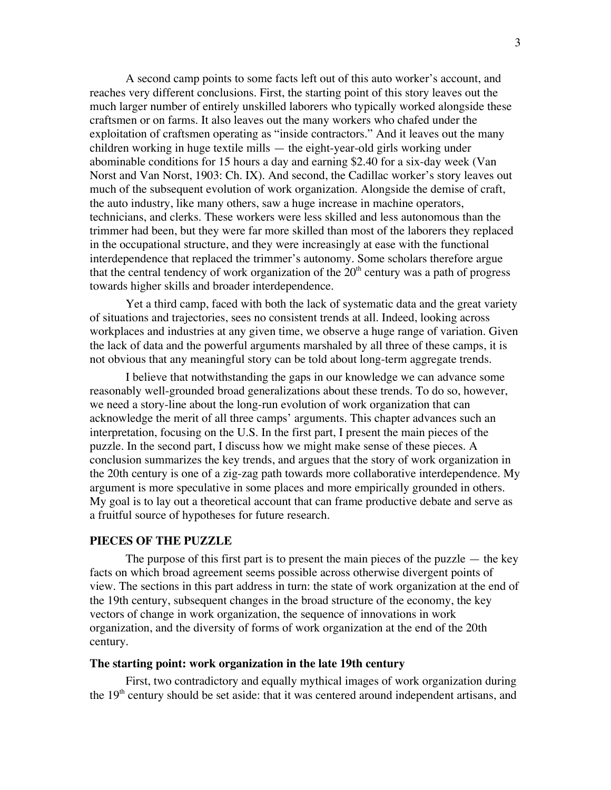A second camp points to some facts left out of this auto worker's account, and reaches very different conclusions. First, the starting point of this story leaves out the much larger number of entirely unskilled laborers who typically worked alongside these craftsmen or on farms. It also leaves out the many workers who chafed under the exploitation of craftsmen operating as "inside contractors." And it leaves out the many children working in huge textile mills — the eight-year-old girls working under abominable conditions for 15 hours a day and earning \$2.40 for a six-day week (Van Norst and Van Norst, 1903: Ch. IX). And second, the Cadillac worker's story leaves out much of the subsequent evolution of work organization. Alongside the demise of craft, the auto industry, like many others, saw a huge increase in machine operators, technicians, and clerks. These workers were less skilled and less autonomous than the trimmer had been, but they were far more skilled than most of the laborers they replaced in the occupational structure, and they were increasingly at ease with the functional interdependence that replaced the trimmer's autonomy. Some scholars therefore argue that the central tendency of work organization of the  $20<sup>th</sup>$  century was a path of progress towards higher skills and broader interdependence.

Yet a third camp, faced with both the lack of systematic data and the great variety of situations and trajectories, sees no consistent trends at all. Indeed, looking across workplaces and industries at any given time, we observe a huge range of variation. Given the lack of data and the powerful arguments marshaled by all three of these camps, it is not obvious that any meaningful story can be told about long-term aggregate trends.

I believe that notwithstanding the gaps in our knowledge we can advance some reasonably well-grounded broad generalizations about these trends. To do so, however, we need a story-line about the long-run evolution of work organization that can acknowledge the merit of all three camps' arguments. This chapter advances such an interpretation, focusing on the U.S. In the first part, I present the main pieces of the puzzle. In the second part, I discuss how we might make sense of these pieces. A conclusion summarizes the key trends, and argues that the story of work organization in the 20th century is one of a zig-zag path towards more collaborative interdependence. My argument is more speculative in some places and more empirically grounded in others. My goal is to lay out a theoretical account that can frame productive debate and serve as a fruitful source of hypotheses for future research.

## **PIECES OF THE PUZZLE**

The purpose of this first part is to present the main pieces of the puzzle  $-$  the key facts on which broad agreement seems possible across otherwise divergent points of view. The sections in this part address in turn: the state of work organization at the end of the 19th century, subsequent changes in the broad structure of the economy, the key vectors of change in work organization, the sequence of innovations in work organization, and the diversity of forms of work organization at the end of the 20th century.

## **The starting point: work organization in the late 19th century**

First, two contradictory and equally mythical images of work organization during the  $19<sup>th</sup>$  century should be set aside: that it was centered around independent artisans, and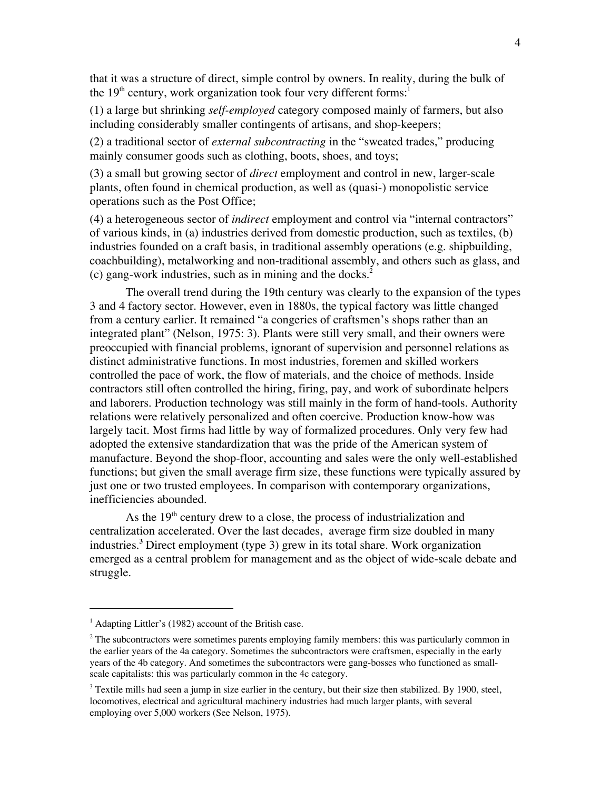that it was a structure of direct, simple control by owners. In reality, during the bulk of the  $19<sup>th</sup>$  century, work organization took four very different forms:<sup>1</sup>

(1) a large but shrinking *self-employed* category composed mainly of farmers, but also including considerably smaller contingents of artisans, and shop-keepers;

(2) a traditional sector of *external subcontracting* in the "sweated trades," producing mainly consumer goods such as clothing, boots, shoes, and toys;

(3) a small but growing sector of *direct* employment and control in new, larger-scale plants, often found in chemical production, as well as (quasi-) monopolistic service operations such as the Post Office;

(4) a heterogeneous sector of *indirect* employment and control via "internal contractors" of various kinds, in (a) industries derived from domestic production, such as textiles, (b) industries founded on a craft basis, in traditional assembly operations (e.g. shipbuilding, coachbuilding), metalworking and non-traditional assembly, and others such as glass, and (c) gang-work industries, such as in mining and the docks. $<sup>2</sup>$ </sup>

The overall trend during the 19th century was clearly to the expansion of the types 3 and 4 factory sector. However, even in 1880s, the typical factory was little changed from a century earlier. It remained "a congeries of craftsmen's shops rather than an integrated plant" (Nelson, 1975: 3). Plants were still very small, and their owners were preoccupied with financial problems, ignorant of supervision and personnel relations as distinct administrative functions. In most industries, foremen and skilled workers controlled the pace of work, the flow of materials, and the choice of methods. Inside contractors still often controlled the hiring, firing, pay, and work of subordinate helpers and laborers. Production technology was still mainly in the form of hand-tools. Authority relations were relatively personalized and often coercive. Production know-how was largely tacit. Most firms had little by way of formalized procedures. Only very few had adopted the extensive standardization that was the pride of the American system of manufacture. Beyond the shop-floor, accounting and sales were the only well-established functions; but given the small average firm size, these functions were typically assured by just one or two trusted employees. In comparison with contemporary organizations, inefficiencies abounded.

As the 19<sup>th</sup> century drew to a close, the process of industrialization and centralization accelerated. Over the last decades, average firm size doubled in many industries.**<sup>3</sup>** Direct employment (type 3) grew in its total share. Work organization emerged as a central problem for management and as the object of wide-scale debate and struggle.

<sup>|&</sup>lt;br>|<br>|  $<sup>1</sup>$  Adapting Littler's (1982) account of the British case.</sup>

 $2$  The subcontractors were sometimes parents employing family members: this was particularly common in the earlier years of the 4a category. Sometimes the subcontractors were craftsmen, especially in the early years of the 4b category. And sometimes the subcontractors were gang-bosses who functioned as smallscale capitalists: this was particularly common in the 4c category.

 $3$  Textile mills had seen a jump in size earlier in the century, but their size then stabilized. By 1900, steel, locomotives, electrical and agricultural machinery industries had much larger plants, with several employing over 5,000 workers (See Nelson, 1975).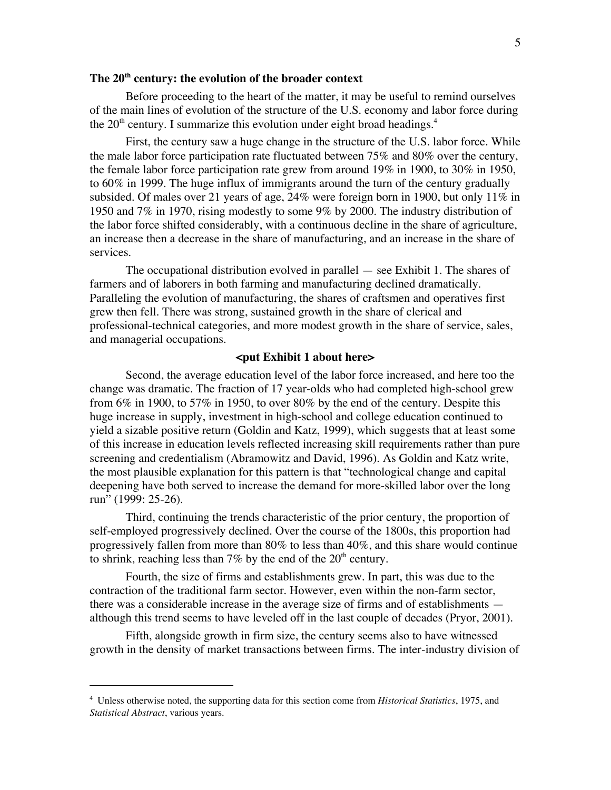## **The 20th century: the evolution of the broader context**

Before proceeding to the heart of the matter, it may be useful to remind ourselves of the main lines of evolution of the structure of the U.S. economy and labor force during the  $20<sup>th</sup>$  century. I summarize this evolution under eight broad headings.<sup>4</sup>

First, the century saw a huge change in the structure of the U.S. labor force. While the male labor force participation rate fluctuated between 75% and 80% over the century, the female labor force participation rate grew from around 19% in 1900, to 30% in 1950, to 60% in 1999. The huge influx of immigrants around the turn of the century gradually subsided. Of males over 21 years of age, 24% were foreign born in 1900, but only 11% in 1950 and 7% in 1970, rising modestly to some 9% by 2000. The industry distribution of the labor force shifted considerably, with a continuous decline in the share of agriculture, an increase then a decrease in the share of manufacturing, and an increase in the share of services.

The occupational distribution evolved in parallel — see Exhibit 1. The shares of farmers and of laborers in both farming and manufacturing declined dramatically. Paralleling the evolution of manufacturing, the shares of craftsmen and operatives first grew then fell. There was strong, sustained growth in the share of clerical and professional-technical categories, and more modest growth in the share of service, sales, and managerial occupations.

## **<put Exhibit 1 about here>**

Second, the average education level of the labor force increased, and here too the change was dramatic. The fraction of 17 year-olds who had completed high-school grew from 6% in 1900, to 57% in 1950, to over 80% by the end of the century. Despite this huge increase in supply, investment in high-school and college education continued to yield a sizable positive return (Goldin and Katz, 1999), which suggests that at least some of this increase in education levels reflected increasing skill requirements rather than pure screening and credentialism (Abramowitz and David, 1996). As Goldin and Katz write, the most plausible explanation for this pattern is that "technological change and capital deepening have both served to increase the demand for more-skilled labor over the long run" (1999: 25-26).

Third, continuing the trends characteristic of the prior century, the proportion of self-employed progressively declined. Over the course of the 1800s, this proportion had progressively fallen from more than 80% to less than 40%, and this share would continue to shrink, reaching less than 7% by the end of the  $20<sup>th</sup>$  century.

Fourth, the size of firms and establishments grew. In part, this was due to the contraction of the traditional farm sector. However, even within the non-farm sector, there was a considerable increase in the average size of firms and of establishments although this trend seems to have leveled off in the last couple of decades (Pryor, 2001).

Fifth, alongside growth in firm size, the century seems also to have witnessed growth in the density of market transactions between firms. The inter-industry division of

 $\overline{a}$ 

<sup>4</sup> Unless otherwise noted, the supporting data for this section come from *Historical Statistics*, 1975, and *Statistical Abstract*, various years.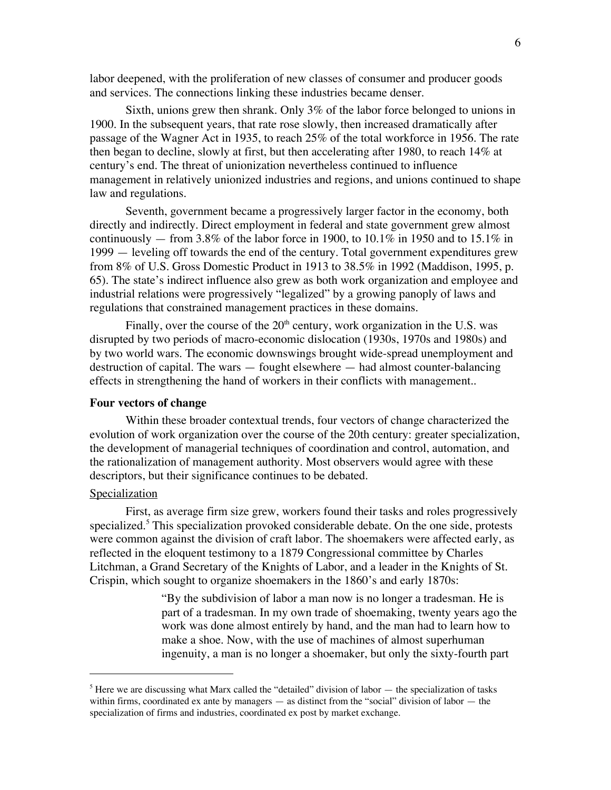labor deepened, with the proliferation of new classes of consumer and producer goods and services. The connections linking these industries became denser.

Sixth, unions grew then shrank. Only 3% of the labor force belonged to unions in 1900. In the subsequent years, that rate rose slowly, then increased dramatically after passage of the Wagner Act in 1935, to reach 25% of the total workforce in 1956. The rate then began to decline, slowly at first, but then accelerating after 1980, to reach 14% at century's end. The threat of unionization nevertheless continued to influence management in relatively unionized industries and regions, and unions continued to shape law and regulations.

Seventh, government became a progressively larger factor in the economy, both directly and indirectly. Direct employment in federal and state government grew almost continuously — from 3.8% of the labor force in 1900, to 10.1% in 1950 and to 15.1% in 1999 — leveling off towards the end of the century. Total government expenditures grew from 8% of U.S. Gross Domestic Product in 1913 to 38.5% in 1992 (Maddison, 1995, p. 65). The state's indirect influence also grew as both work organization and employee and industrial relations were progressively "legalized" by a growing panoply of laws and regulations that constrained management practices in these domains.

Finally, over the course of the  $20<sup>th</sup>$  century, work organization in the U.S. was disrupted by two periods of macro-economic dislocation (1930s, 1970s and 1980s) and by two world wars. The economic downswings brought wide-spread unemployment and destruction of capital. The wars — fought elsewhere — had almost counter-balancing effects in strengthening the hand of workers in their conflicts with management..

## **Four vectors of change**

Within these broader contextual trends, four vectors of change characterized the evolution of work organization over the course of the 20th century: greater specialization, the development of managerial techniques of coordination and control, automation, and the rationalization of management authority. Most observers would agree with these descriptors, but their significance continues to be debated.

## **Specialization**

 $\overline{a}$ 

First, as average firm size grew, workers found their tasks and roles progressively specialized.<sup>5</sup> This specialization provoked considerable debate. On the one side, protests were common against the division of craft labor. The shoemakers were affected early, as reflected in the eloquent testimony to a 1879 Congressional committee by Charles Litchman, a Grand Secretary of the Knights of Labor, and a leader in the Knights of St. Crispin, which sought to organize shoemakers in the 1860's and early 1870s:

> "By the subdivision of labor a man now is no longer a tradesman. He is part of a tradesman. In my own trade of shoemaking, twenty years ago the work was done almost entirely by hand, and the man had to learn how to make a shoe. Now, with the use of machines of almost superhuman ingenuity, a man is no longer a shoemaker, but only the sixty-fourth part

 $<sup>5</sup>$  Here we are discussing what Marx called the "detailed" division of labor  $-$  the specialization of tasks</sup> within firms, coordinated ex ante by managers — as distinct from the "social" division of labor — the specialization of firms and industries, coordinated ex post by market exchange.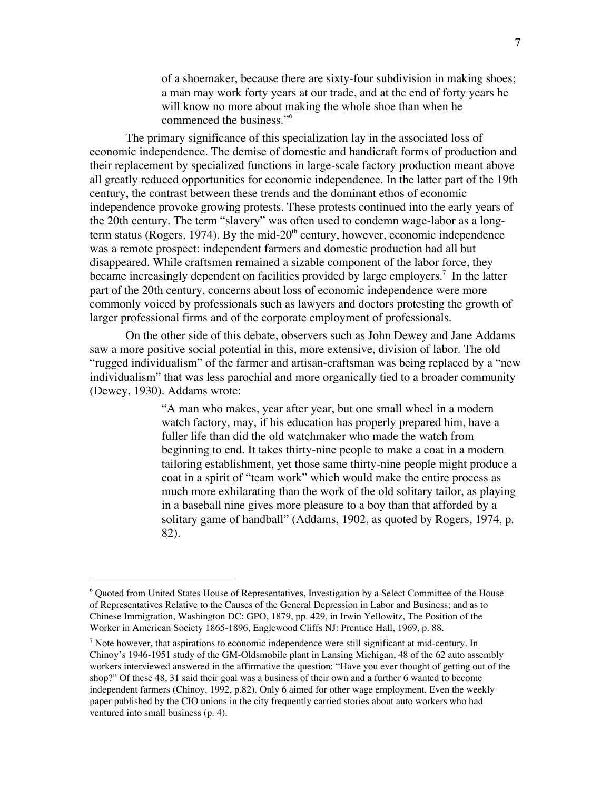of a shoemaker, because there are sixty-four subdivision in making shoes; a man may work forty years at our trade, and at the end of forty years he will know no more about making the whole shoe than when he commenced the business."6

The primary significance of this specialization lay in the associated loss of economic independence. The demise of domestic and handicraft forms of production and their replacement by specialized functions in large-scale factory production meant above all greatly reduced opportunities for economic independence. In the latter part of the 19th century, the contrast between these trends and the dominant ethos of economic independence provoke growing protests. These protests continued into the early years of the 20th century. The term "slavery" was often used to condemn wage-labor as a longterm status (Rogers, 1974). By the mid- $20<sup>th</sup>$  century, however, economic independence was a remote prospect: independent farmers and domestic production had all but disappeared. While craftsmen remained a sizable component of the labor force, they became increasingly dependent on facilities provided by large employers.<sup>7</sup> In the latter part of the 20th century, concerns about loss of economic independence were more commonly voiced by professionals such as lawyers and doctors protesting the growth of larger professional firms and of the corporate employment of professionals.

On the other side of this debate, observers such as John Dewey and Jane Addams saw a more positive social potential in this, more extensive, division of labor. The old "rugged individualism" of the farmer and artisan-craftsman was being replaced by a "new individualism" that was less parochial and more organically tied to a broader community (Dewey, 1930). Addams wrote:

> "A man who makes, year after year, but one small wheel in a modern watch factory, may, if his education has properly prepared him, have a fuller life than did the old watchmaker who made the watch from beginning to end. It takes thirty-nine people to make a coat in a modern tailoring establishment, yet those same thirty-nine people might produce a coat in a spirit of "team work" which would make the entire process as much more exhilarating than the work of the old solitary tailor, as playing in a baseball nine gives more pleasure to a boy than that afforded by a solitary game of handball" (Addams, 1902, as quoted by Rogers, 1974, p. 82).

 <sup>6</sup> Quoted from United States House of Representatives, Investigation by a Select Committee of the House of Representatives Relative to the Causes of the General Depression in Labor and Business; and as to Chinese Immigration, Washington DC: GPO, 1879, pp. 429, in Irwin Yellowitz, The Position of the Worker in American Society 1865-1896, Englewood Cliffs NJ: Prentice Hall, 1969, p. 88.

 $<sup>7</sup>$  Note however, that aspirations to economic independence were still significant at mid-century. In</sup> Chinoy's 1946-1951 study of the GM-Oldsmobile plant in Lansing Michigan, 48 of the 62 auto assembly workers interviewed answered in the affirmative the question: "Have you ever thought of getting out of the shop?" Of these 48, 31 said their goal was a business of their own and a further 6 wanted to become independent farmers (Chinoy, 1992, p.82). Only 6 aimed for other wage employment. Even the weekly paper published by the CIO unions in the city frequently carried stories about auto workers who had ventured into small business (p. 4).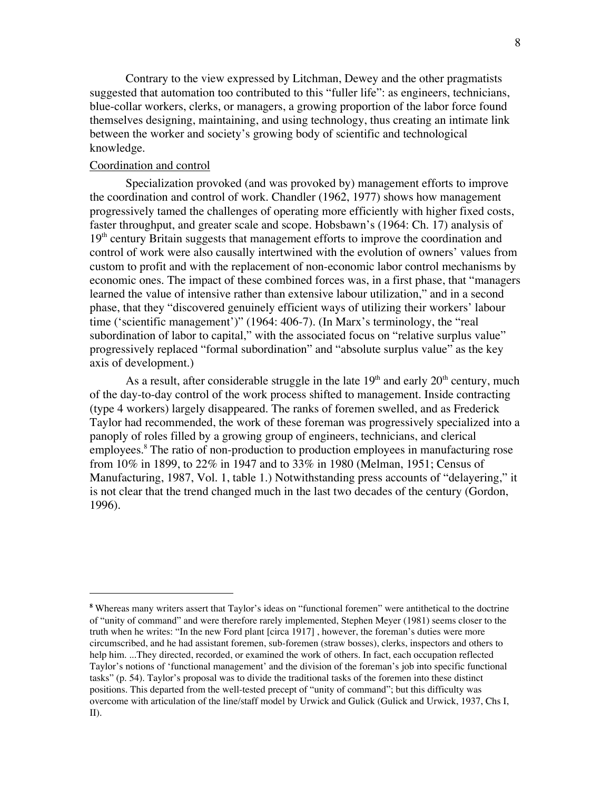Contrary to the view expressed by Litchman, Dewey and the other pragmatists suggested that automation too contributed to this "fuller life": as engineers, technicians, blue-collar workers, clerks, or managers, a growing proportion of the labor force found themselves designing, maintaining, and using technology, thus creating an intimate link between the worker and society's growing body of scientific and technological knowledge.

## Coordination and control

 $\overline{a}$ 

Specialization provoked (and was provoked by) management efforts to improve the coordination and control of work. Chandler (1962, 1977) shows how management progressively tamed the challenges of operating more efficiently with higher fixed costs, faster throughput, and greater scale and scope. Hobsbawn's (1964: Ch. 17) analysis of  $19<sup>th</sup>$  century Britain suggests that management efforts to improve the coordination and control of work were also causally intertwined with the evolution of owners' values from custom to profit and with the replacement of non-economic labor control mechanisms by economic ones. The impact of these combined forces was, in a first phase, that "managers learned the value of intensive rather than extensive labour utilization," and in a second phase, that they "discovered genuinely efficient ways of utilizing their workers' labour time ('scientific management')" (1964: 406-7). (In Marx's terminology, the "real subordination of labor to capital," with the associated focus on "relative surplus value" progressively replaced "formal subordination" and "absolute surplus value" as the key axis of development.)

As a result, after considerable struggle in the late  $19<sup>th</sup>$  and early  $20<sup>th</sup>$  century, much of the day-to-day control of the work process shifted to management. Inside contracting (type 4 workers) largely disappeared. The ranks of foremen swelled, and as Frederick Taylor had recommended, the work of these foreman was progressively specialized into a panoply of roles filled by a growing group of engineers, technicians, and clerical employees.<sup>8</sup> The ratio of non-production to production employees in manufacturing rose from 10% in 1899, to 22% in 1947 and to 33% in 1980 (Melman, 1951; Census of Manufacturing, 1987, Vol. 1, table 1.) Notwithstanding press accounts of "delayering," it is not clear that the trend changed much in the last two decades of the century (Gordon, 1996).

**<sup>8</sup>** Whereas many writers assert that Taylor's ideas on "functional foremen" were antithetical to the doctrine of "unity of command" and were therefore rarely implemented, Stephen Meyer (1981) seems closer to the truth when he writes: "In the new Ford plant [circa 1917] , however, the foreman's duties were more circumscribed, and he had assistant foremen, sub-foremen (straw bosses), clerks, inspectors and others to help him. ...They directed, recorded, or examined the work of others. In fact, each occupation reflected Taylor's notions of 'functional management' and the division of the foreman's job into specific functional tasks" (p. 54). Taylor's proposal was to divide the traditional tasks of the foremen into these distinct positions. This departed from the well-tested precept of "unity of command"; but this difficulty was overcome with articulation of the line/staff model by Urwick and Gulick (Gulick and Urwick, 1937, Chs I, II).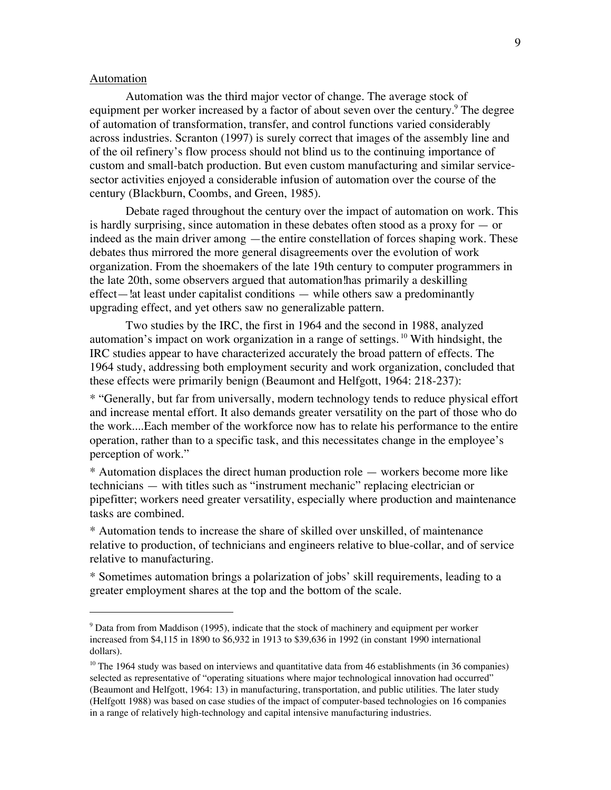#### Automation

Automation was the third major vector of change. The average stock of equipment per worker increased by a factor of about seven over the century.<sup>9</sup> The degree of automation of transformation, transfer, and control functions varied considerably across industries. Scranton (1997) is surely correct that images of the assembly line and of the oil refinery's flow process should not blind us to the continuing importance of custom and small-batch production. But even custom manufacturing and similar servicesector activities enjoyed a considerable infusion of automation over the course of the century (Blackburn, Coombs, and Green, 1985).

Debate raged throughout the century over the impact of automation on work. This is hardly surprising, since automation in these debates often stood as a proxy for  $-$  or indeed as the main driver among —the entire constellation of forces shaping work. These debates thus mirrored the more general disagreements over the evolution of work organization. From the shoemakers of the late 19th century to computer programmers in the late 20th, some observers argued that automation!has primarily a deskilling effect—!at least under capitalist conditions — while others saw a predominantly upgrading effect, and yet others saw no generalizable pattern.

Two studies by the IRC, the first in 1964 and the second in 1988, analyzed automation's impact on work organization in a range of settings. <sup>10</sup> With hindsight, the IRC studies appear to have characterized accurately the broad pattern of effects. The 1964 study, addressing both employment security and work organization, concluded that these effects were primarily benign (Beaumont and Helfgott, 1964: 218-237):

\* "Generally, but far from universally, modern technology tends to reduce physical effort and increase mental effort. It also demands greater versatility on the part of those who do the work....Each member of the workforce now has to relate his performance to the entire operation, rather than to a specific task, and this necessitates change in the employee's perception of work."

\* Automation displaces the direct human production role — workers become more like technicians — with titles such as "instrument mechanic" replacing electrician or pipefitter; workers need greater versatility, especially where production and maintenance tasks are combined.

\* Automation tends to increase the share of skilled over unskilled, of maintenance relative to production, of technicians and engineers relative to blue-collar, and of service relative to manufacturing.

\* Sometimes automation brings a polarization of jobs' skill requirements, leading to a greater employment shares at the top and the bottom of the scale.

اب<br>9  $9$  Data from from Maddison (1995), indicate that the stock of machinery and equipment per worker increased from \$4,115 in 1890 to \$6,932 in 1913 to \$39,636 in 1992 (in constant 1990 international dollars).

<sup>&</sup>lt;sup>10</sup> The 1964 study was based on interviews and quantitative data from 46 establishments (in 36 companies) selected as representative of "operating situations where major technological innovation had occurred" (Beaumont and Helfgott, 1964: 13) in manufacturing, transportation, and public utilities. The later study (Helfgott 1988) was based on case studies of the impact of computer-based technologies on 16 companies in a range of relatively high-technology and capital intensive manufacturing industries.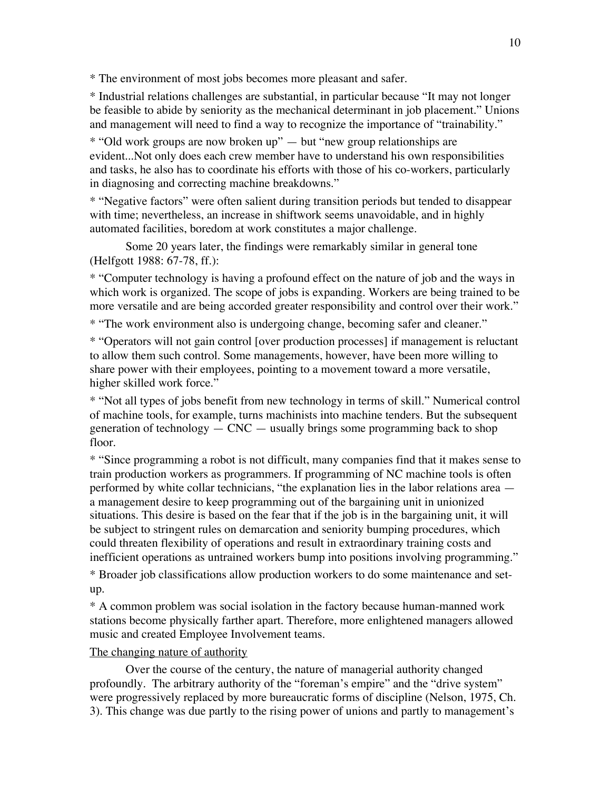\* The environment of most jobs becomes more pleasant and safer.

\* Industrial relations challenges are substantial, in particular because "It may not longer be feasible to abide by seniority as the mechanical determinant in job placement." Unions and management will need to find a way to recognize the importance of "trainability."

\* "Old work groups are now broken up" — but "new group relationships are evident...Not only does each crew member have to understand his own responsibilities and tasks, he also has to coordinate his efforts with those of his co-workers, particularly in diagnosing and correcting machine breakdowns."

\* "Negative factors" were often salient during transition periods but tended to disappear with time; nevertheless, an increase in shiftwork seems unavoidable, and in highly automated facilities, boredom at work constitutes a major challenge.

Some 20 years later, the findings were remarkably similar in general tone (Helfgott 1988: 67-78, ff.):

\* "Computer technology is having a profound effect on the nature of job and the ways in which work is organized. The scope of jobs is expanding. Workers are being trained to be more versatile and are being accorded greater responsibility and control over their work."

\* "The work environment also is undergoing change, becoming safer and cleaner."

\* "Operators will not gain control [over production processes] if management is reluctant to allow them such control. Some managements, however, have been more willing to share power with their employees, pointing to a movement toward a more versatile, higher skilled work force."

\* "Not all types of jobs benefit from new technology in terms of skill." Numerical control of machine tools, for example, turns machinists into machine tenders. But the subsequent generation of technology  $-$  CNC  $-$  usually brings some programming back to shop floor.

\* "Since programming a robot is not difficult, many companies find that it makes sense to train production workers as programmers. If programming of NC machine tools is often performed by white collar technicians, "the explanation lies in the labor relations area a management desire to keep programming out of the bargaining unit in unionized situations. This desire is based on the fear that if the job is in the bargaining unit, it will be subject to stringent rules on demarcation and seniority bumping procedures, which could threaten flexibility of operations and result in extraordinary training costs and inefficient operations as untrained workers bump into positions involving programming." \* Broader job classifications allow production workers to do some maintenance and setup.

\* A common problem was social isolation in the factory because human-manned work stations become physically farther apart. Therefore, more enlightened managers allowed music and created Employee Involvement teams.

## The changing nature of authority

Over the course of the century, the nature of managerial authority changed profoundly. The arbitrary authority of the "foreman's empire" and the "drive system" were progressively replaced by more bureaucratic forms of discipline (Nelson, 1975, Ch. 3). This change was due partly to the rising power of unions and partly to management's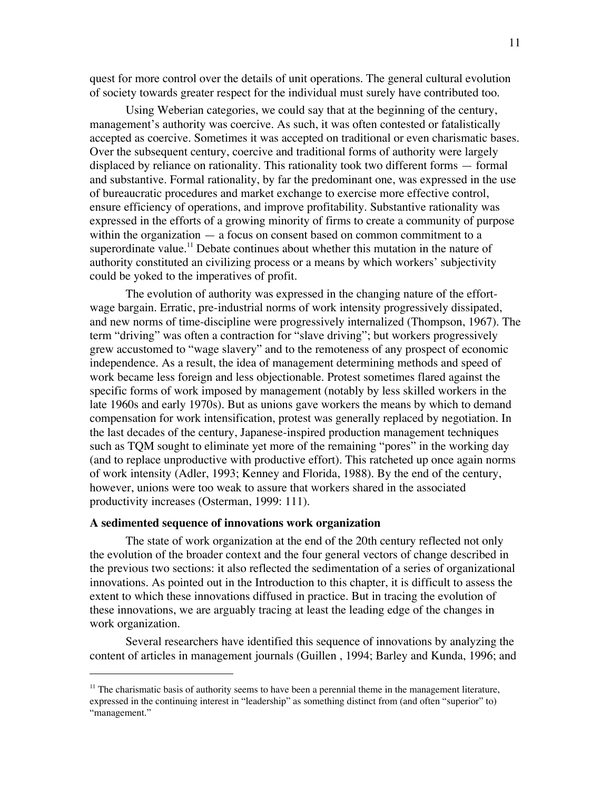quest for more control over the details of unit operations. The general cultural evolution of society towards greater respect for the individual must surely have contributed too.

Using Weberian categories, we could say that at the beginning of the century, management's authority was coercive. As such, it was often contested or fatalistically accepted as coercive. Sometimes it was accepted on traditional or even charismatic bases. Over the subsequent century, coercive and traditional forms of authority were largely displaced by reliance on rationality. This rationality took two different forms — formal and substantive. Formal rationality, by far the predominant one, was expressed in the use of bureaucratic procedures and market exchange to exercise more effective control, ensure efficiency of operations, and improve profitability. Substantive rationality was expressed in the efforts of a growing minority of firms to create a community of purpose within the organization — a focus on consent based on common commitment to a superordinate value.<sup>11</sup> Debate continues about whether this mutation in the nature of authority constituted an civilizing process or a means by which workers' subjectivity could be yoked to the imperatives of profit.

The evolution of authority was expressed in the changing nature of the effortwage bargain. Erratic, pre-industrial norms of work intensity progressively dissipated, and new norms of time-discipline were progressively internalized (Thompson, 1967). The term "driving" was often a contraction for "slave driving"; but workers progressively grew accustomed to "wage slavery" and to the remoteness of any prospect of economic independence. As a result, the idea of management determining methods and speed of work became less foreign and less objectionable. Protest sometimes flared against the specific forms of work imposed by management (notably by less skilled workers in the late 1960s and early 1970s). But as unions gave workers the means by which to demand compensation for work intensification, protest was generally replaced by negotiation. In the last decades of the century, Japanese-inspired production management techniques such as TQM sought to eliminate yet more of the remaining "pores" in the working day (and to replace unproductive with productive effort). This ratcheted up once again norms of work intensity (Adler, 1993; Kenney and Florida, 1988). By the end of the century, however, unions were too weak to assure that workers shared in the associated productivity increases (Osterman, 1999: 111).

## **A sedimented sequence of innovations work organization**

 $\overline{a}$ 

The state of work organization at the end of the 20th century reflected not only the evolution of the broader context and the four general vectors of change described in the previous two sections: it also reflected the sedimentation of a series of organizational innovations. As pointed out in the Introduction to this chapter, it is difficult to assess the extent to which these innovations diffused in practice. But in tracing the evolution of these innovations, we are arguably tracing at least the leading edge of the changes in work organization.

Several researchers have identified this sequence of innovations by analyzing the content of articles in management journals (Guillen , 1994; Barley and Kunda, 1996; and

<sup>&</sup>lt;sup>11</sup> The charismatic basis of authority seems to have been a perennial theme in the management literature, expressed in the continuing interest in "leadership" as something distinct from (and often "superior" to) "management."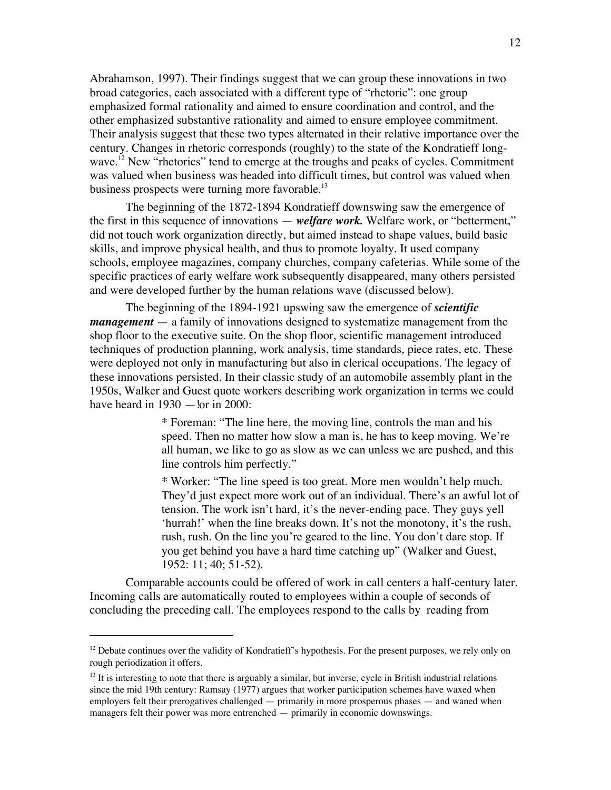Abrahamson, 1997). Their findings suggest that we can group these innovations in two broad categories, each associated with a different type of "rhetoric": one group emphasized formal rationality and aimed to ensure coordination and control, and the other emphasized substantive rationality and aimed to ensure employee commitment. Their analysis suggest that these two types alternated in their relative importance over the century. Changes in rhetoric corresponds (roughly) to the state of the Kondratieff longwave.<sup>12</sup> New "rhetorics" tend to emerge at the troughs and peaks of cycles. Commitment was valued when business was headed into difficult times, but control was valued when business prospects were turning more favorable.<sup>13</sup>

The beginning of the 1872-1894 Kondratieff downswing saw the emergence of the first in this sequence of innovations — *welfare work.* Welfare work, or "betterment," did not touch work organization directly, but aimed instead to shape values, build basic skills, and improve physical health, and thus to promote loyalty. It used company schools, employee magazines, company churches, company cafeterias. While some of the specific practices of early welfare work subsequently disappeared, many others persisted and were developed further by the human relations wave (discussed below).

The beginning of the 1894-1921 upswing saw the emergence of *scientific management* — a family of innovations designed to systematize management from the shop floor to the executive suite. On the shop floor, scientific management introduced techniques of production planning, work analysis, time standards, piece rates, etc. These were deployed not only in manufacturing but also in clerical occupations. The legacy of these innovations persisted. In their classic study of an automobile assembly plant in the 1950s, Walker and Guest quote workers describing work organization in terms we could have heard in  $1930 -$  lor in 2000:

> \* Foreman: "The line here, the moving line, controls the man and his speed. Then no matter how slow a man is, he has to keep moving. We're all human, we like to go as slow as we can unless we are pushed, and this line controls him perfectly."

\* Worker: "The line speed is too great. More men wouldn't help much. They'd just expect more work out of an individual. There's an awful lot of tension. The work isn't hard, it's the never-ending pace. They guys yell 'hurrah!' when the line breaks down. It's not the monotony, it's the rush, rush, rush. On the line you're geared to the line. You don't dare stop. If you get behind you have a hard time catching up" (Walker and Guest, 1952: 11; 40; 51-52).

Comparable accounts could be offered of work in call centers a half-century later. Incoming calls are automatically routed to employees within a couple of seconds of concluding the preceding call. The employees respond to the calls by reading from

 $\overline{a}$ 

<sup>&</sup>lt;sup>12</sup> Debate continues over the validity of Kondratieff's hypothesis. For the present purposes, we rely only on rough periodization it offers.

<sup>&</sup>lt;sup>13</sup> It is interesting to note that there is arguably a similar, but inverse, cycle in British industrial relations since the mid 19th century: Ramsay (1977) argues that worker participation schemes have waxed when employers felt their prerogatives challenged — primarily in more prosperous phases — and waned when managers felt their power was more entrenched — primarily in economic downswings.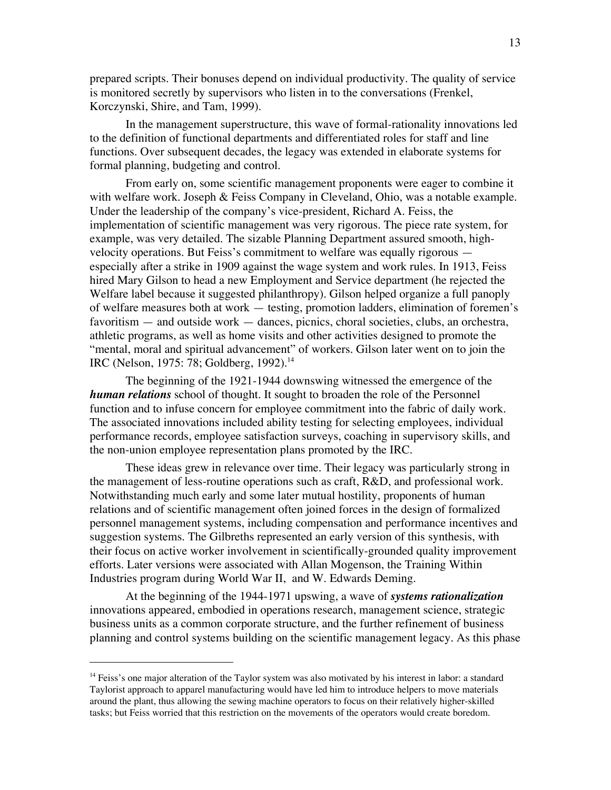prepared scripts. Their bonuses depend on individual productivity. The quality of service is monitored secretly by supervisors who listen in to the conversations (Frenkel, Korczynski, Shire, and Tam, 1999).

In the management superstructure, this wave of formal-rationality innovations led to the definition of functional departments and differentiated roles for staff and line functions. Over subsequent decades, the legacy was extended in elaborate systems for formal planning, budgeting and control.

From early on, some scientific management proponents were eager to combine it with welfare work. Joseph & Feiss Company in Cleveland, Ohio, was a notable example. Under the leadership of the company's vice-president, Richard A. Feiss, the implementation of scientific management was very rigorous. The piece rate system, for example, was very detailed. The sizable Planning Department assured smooth, highvelocity operations. But Feiss's commitment to welfare was equally rigorous especially after a strike in 1909 against the wage system and work rules. In 1913, Feiss hired Mary Gilson to head a new Employment and Service department (he rejected the Welfare label because it suggested philanthropy). Gilson helped organize a full panoply of welfare measures both at work — testing, promotion ladders, elimination of foremen's favoritism — and outside work — dances, picnics, choral societies, clubs, an orchestra, athletic programs, as well as home visits and other activities designed to promote the "mental, moral and spiritual advancement" of workers. Gilson later went on to join the IRC (Nelson, 1975: 78; Goldberg, 1992).<sup>14</sup>

The beginning of the 1921-1944 downswing witnessed the emergence of the *human relations* school of thought. It sought to broaden the role of the Personnel function and to infuse concern for employee commitment into the fabric of daily work. The associated innovations included ability testing for selecting employees, individual performance records, employee satisfaction surveys, coaching in supervisory skills, and the non-union employee representation plans promoted by the IRC.

These ideas grew in relevance over time. Their legacy was particularly strong in the management of less-routine operations such as craft, R&D, and professional work. Notwithstanding much early and some later mutual hostility, proponents of human relations and of scientific management often joined forces in the design of formalized personnel management systems, including compensation and performance incentives and suggestion systems. The Gilbreths represented an early version of this synthesis, with their focus on active worker involvement in scientifically-grounded quality improvement efforts. Later versions were associated with Allan Mogenson, the Training Within Industries program during World War II, and W. Edwards Deming.

At the beginning of the 1944-1971 upswing, a wave of *systems rationalization* innovations appeared, embodied in operations research, management science, strategic business units as a common corporate structure, and the further refinement of business planning and control systems building on the scientific management legacy. As this phase

 $\overline{a}$ 

<sup>&</sup>lt;sup>14</sup> Feiss's one major alteration of the Taylor system was also motivated by his interest in labor: a standard Taylorist approach to apparel manufacturing would have led him to introduce helpers to move materials around the plant, thus allowing the sewing machine operators to focus on their relatively higher-skilled tasks; but Feiss worried that this restriction on the movements of the operators would create boredom.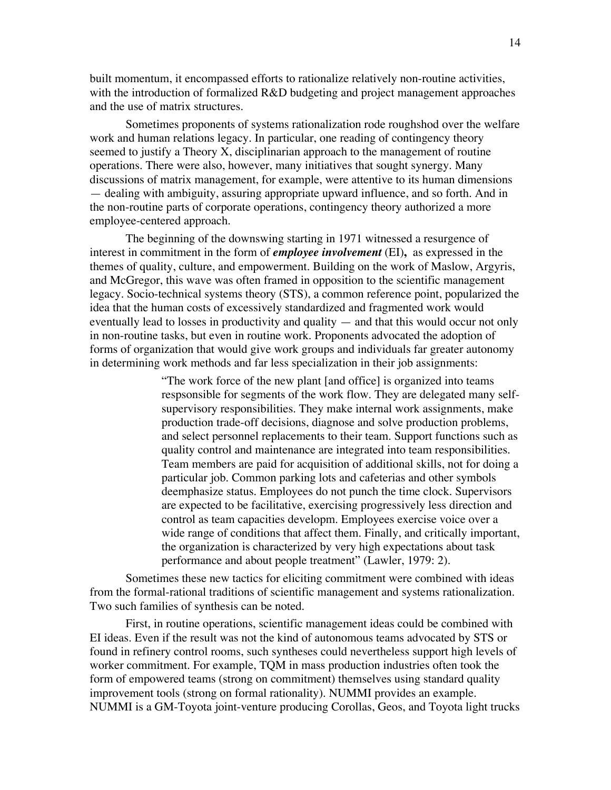built momentum, it encompassed efforts to rationalize relatively non-routine activities, with the introduction of formalized R&D budgeting and project management approaches and the use of matrix structures.

Sometimes proponents of systems rationalization rode roughshod over the welfare work and human relations legacy. In particular, one reading of contingency theory seemed to justify a Theory X, disciplinarian approach to the management of routine operations. There were also, however, many initiatives that sought synergy. Many discussions of matrix management, for example, were attentive to its human dimensions — dealing with ambiguity, assuring appropriate upward influence, and so forth. And in the non-routine parts of corporate operations, contingency theory authorized a more employee-centered approach.

The beginning of the downswing starting in 1971 witnessed a resurgence of interest in commitment in the form of *employee involvement* (EI)**,** as expressed in the themes of quality, culture, and empowerment. Building on the work of Maslow, Argyris, and McGregor, this wave was often framed in opposition to the scientific management legacy. Socio-technical systems theory (STS), a common reference point, popularized the idea that the human costs of excessively standardized and fragmented work would eventually lead to losses in productivity and quality — and that this would occur not only in non-routine tasks, but even in routine work. Proponents advocated the adoption of forms of organization that would give work groups and individuals far greater autonomy in determining work methods and far less specialization in their job assignments:

> "The work force of the new plant [and office] is organized into teams respsonsible for segments of the work flow. They are delegated many selfsupervisory responsibilities. They make internal work assignments, make production trade-off decisions, diagnose and solve production problems, and select personnel replacements to their team. Support functions such as quality control and maintenance are integrated into team responsibilities. Team members are paid for acquisition of additional skills, not for doing a particular job. Common parking lots and cafeterias and other symbols deemphasize status. Employees do not punch the time clock. Supervisors are expected to be facilitative, exercising progressively less direction and control as team capacities developm. Employees exercise voice over a wide range of conditions that affect them. Finally, and critically important, the organization is characterized by very high expectations about task performance and about people treatment" (Lawler, 1979: 2).

Sometimes these new tactics for eliciting commitment were combined with ideas from the formal-rational traditions of scientific management and systems rationalization. Two such families of synthesis can be noted.

First, in routine operations, scientific management ideas could be combined with EI ideas. Even if the result was not the kind of autonomous teams advocated by STS or found in refinery control rooms, such syntheses could nevertheless support high levels of worker commitment. For example, TQM in mass production industries often took the form of empowered teams (strong on commitment) themselves using standard quality improvement tools (strong on formal rationality). NUMMI provides an example. NUMMI is a GM-Toyota joint-venture producing Corollas, Geos, and Toyota light trucks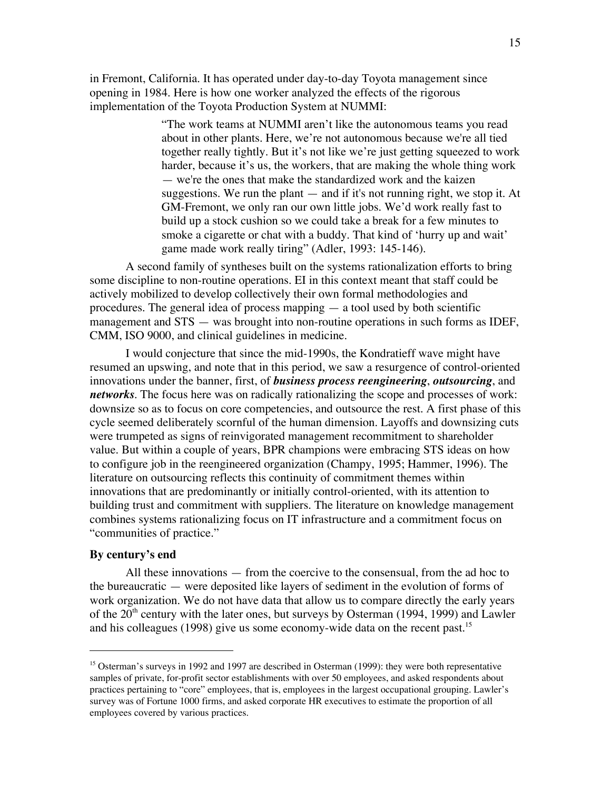in Fremont, California. It has operated under day-to-day Toyota management since opening in 1984. Here is how one worker analyzed the effects of the rigorous implementation of the Toyota Production System at NUMMI:

> "The work teams at NUMMI aren't like the autonomous teams you read about in other plants. Here, we're not autonomous because we're all tied together really tightly. But it's not like we're just getting squeezed to work harder, because it's us, the workers, that are making the whole thing work — we're the ones that make the standardized work and the kaizen suggestions. We run the plant  $-$  and if it's not running right, we stop it. At GM-Fremont, we only ran our own little jobs. We'd work really fast to build up a stock cushion so we could take a break for a few minutes to smoke a cigarette or chat with a buddy. That kind of 'hurry up and wait' game made work really tiring" (Adler, 1993: 145-146).

A second family of syntheses built on the systems rationalization efforts to bring some discipline to non-routine operations. EI in this context meant that staff could be actively mobilized to develop collectively their own formal methodologies and procedures. The general idea of process mapping — a tool used by both scientific management and STS — was brought into non-routine operations in such forms as IDEF, CMM, ISO 9000, and clinical guidelines in medicine.

I would conjecture that since the mid-1990s, the Kondratieff wave might have resumed an upswing, and note that in this period, we saw a resurgence of control-oriented innovations under the banner, first, of *business process reengineering*, *outsourcing*, and *networks*. The focus here was on radically rationalizing the scope and processes of work: downsize so as to focus on core competencies, and outsource the rest. A first phase of this cycle seemed deliberately scornful of the human dimension. Layoffs and downsizing cuts were trumpeted as signs of reinvigorated management recommitment to shareholder value. But within a couple of years, BPR champions were embracing STS ideas on how to configure job in the reengineered organization (Champy, 1995; Hammer, 1996). The literature on outsourcing reflects this continuity of commitment themes within innovations that are predominantly or initially control-oriented, with its attention to building trust and commitment with suppliers. The literature on knowledge management combines systems rationalizing focus on IT infrastructure and a commitment focus on "communities of practice."

## **By century's end**

All these innovations — from the coercive to the consensual, from the ad hoc to the bureaucratic — were deposited like layers of sediment in the evolution of forms of work organization. We do not have data that allow us to compare directly the early years of the  $20<sup>th</sup>$  century with the later ones, but surveys by Osterman (1994, 1999) and Lawler and his colleagues (1998) give us some economy-wide data on the recent past.<sup>15</sup>

<sup>&</sup>lt;sup>15</sup> Osterman's surveys in 1992 and 1997 are described in Osterman (1999): they were both representative samples of private, for-profit sector establishments with over 50 employees, and asked respondents about practices pertaining to "core" employees, that is, employees in the largest occupational grouping. Lawler's survey was of Fortune 1000 firms, and asked corporate HR executives to estimate the proportion of all employees covered by various practices.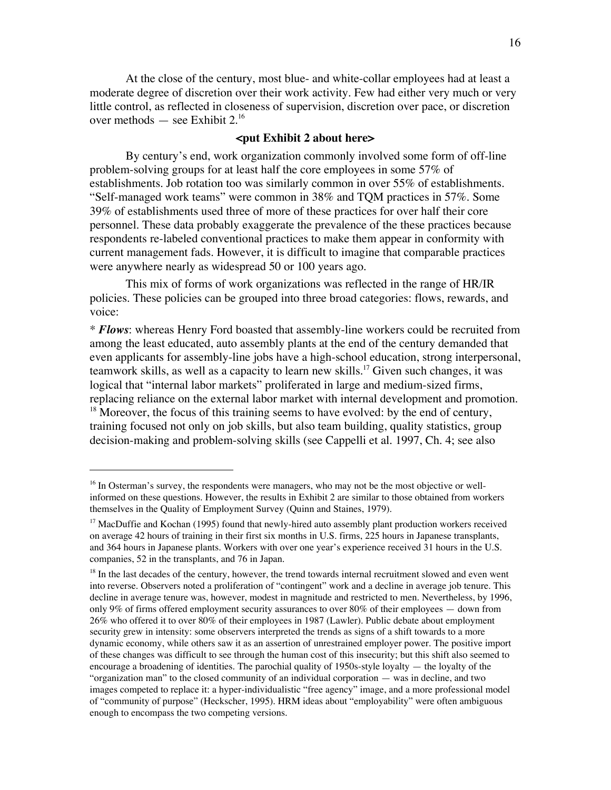At the close of the century, most blue- and white-collar employees had at least a moderate degree of discretion over their work activity. Few had either very much or very little control, as reflected in closeness of supervision, discretion over pace, or discretion over methods — see Exhibit  $2.^{16}$ 

## **<put Exhibit 2 about here>**

By century's end, work organization commonly involved some form of off-line problem-solving groups for at least half the core employees in some 57% of establishments. Job rotation too was similarly common in over 55% of establishments. "Self-managed work teams" were common in 38% and TQM practices in 57%. Some 39% of establishments used three of more of these practices for over half their core personnel. These data probably exaggerate the prevalence of the these practices because respondents re-labeled conventional practices to make them appear in conformity with current management fads. However, it is difficult to imagine that comparable practices were anywhere nearly as widespread 50 or 100 years ago.

This mix of forms of work organizations was reflected in the range of HR/IR policies. These policies can be grouped into three broad categories: flows, rewards, and voice:

\* *Flows*: whereas Henry Ford boasted that assembly-line workers could be recruited from among the least educated, auto assembly plants at the end of the century demanded that even applicants for assembly-line jobs have a high-school education, strong interpersonal, teamwork skills, as well as a capacity to learn new skills.<sup>17</sup> Given such changes, it was logical that "internal labor markets" proliferated in large and medium-sized firms, replacing reliance on the external labor market with internal development and promotion.

 $<sup>18</sup>$  Moreover, the focus of this training seems to have evolved: by the end of century,</sup> training focused not only on job skills, but also team building, quality statistics, group decision-making and problem-solving skills (see Cappelli et al. 1997, Ch. 4; see also

<sup>&</sup>lt;sup>16</sup> In Osterman's survey, the respondents were managers, who may not be the most objective or wellinformed on these questions. However, the results in Exhibit 2 are similar to those obtained from workers themselves in the Quality of Employment Survey (Quinn and Staines, 1979).

<sup>&</sup>lt;sup>17</sup> MacDuffie and Kochan (1995) found that newly-hired auto assembly plant production workers received on average 42 hours of training in their first six months in U.S. firms, 225 hours in Japanese transplants, and 364 hours in Japanese plants. Workers with over one year's experience received 31 hours in the U.S. companies, 52 in the transplants, and 76 in Japan.

<sup>&</sup>lt;sup>18</sup> In the last decades of the century, however, the trend towards internal recruitment slowed and even went into reverse. Observers noted a proliferation of "contingent" work and a decline in average job tenure. This decline in average tenure was, however, modest in magnitude and restricted to men. Nevertheless, by 1996, only 9% of firms offered employment security assurances to over 80% of their employees — down from 26% who offered it to over 80% of their employees in 1987 (Lawler). Public debate about employment security grew in intensity: some observers interpreted the trends as signs of a shift towards to a more dynamic economy, while others saw it as an assertion of unrestrained employer power. The positive import of these changes was difficult to see through the human cost of this insecurity; but this shift also seemed to encourage a broadening of identities. The parochial quality of 1950s-style loyalty — the loyalty of the "organization man" to the closed community of an individual corporation — was in decline, and two images competed to replace it: a hyper-individualistic "free agency" image, and a more professional model of "community of purpose" (Heckscher, 1995). HRM ideas about "employability" were often ambiguous enough to encompass the two competing versions.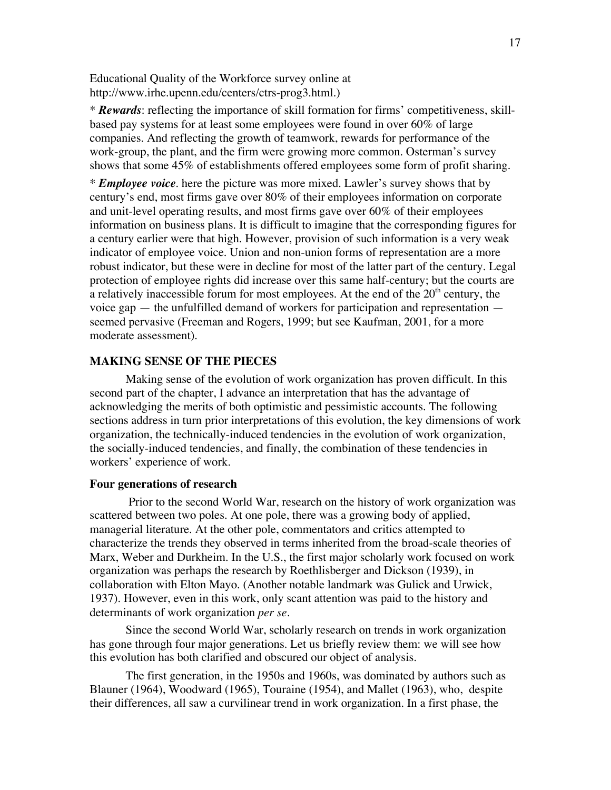Educational Quality of the Workforce survey online at http://www.irhe.upenn.edu/centers/ctrs-prog3.html.)

\* *Rewards*: reflecting the importance of skill formation for firms' competitiveness, skillbased pay systems for at least some employees were found in over 60% of large companies. And reflecting the growth of teamwork, rewards for performance of the work-group, the plant, and the firm were growing more common. Osterman's survey shows that some 45% of establishments offered employees some form of profit sharing.

\* *Employee voice*. here the picture was more mixed. Lawler's survey shows that by century's end, most firms gave over 80% of their employees information on corporate and unit-level operating results, and most firms gave over 60% of their employees information on business plans. It is difficult to imagine that the corresponding figures for a century earlier were that high. However, provision of such information is a very weak indicator of employee voice. Union and non-union forms of representation are a more robust indicator, but these were in decline for most of the latter part of the century. Legal protection of employee rights did increase over this same half-century; but the courts are a relatively inaccessible forum for most employees. At the end of the  $20<sup>th</sup>$  century, the voice gap — the unfulfilled demand of workers for participation and representation seemed pervasive (Freeman and Rogers, 1999; but see Kaufman, 2001, for a more moderate assessment).

## **MAKING SENSE OF THE PIECES**

Making sense of the evolution of work organization has proven difficult. In this second part of the chapter, I advance an interpretation that has the advantage of acknowledging the merits of both optimistic and pessimistic accounts. The following sections address in turn prior interpretations of this evolution, the key dimensions of work organization, the technically-induced tendencies in the evolution of work organization, the socially-induced tendencies, and finally, the combination of these tendencies in workers' experience of work.

#### **Four generations of research**

 Prior to the second World War, research on the history of work organization was scattered between two poles. At one pole, there was a growing body of applied, managerial literature. At the other pole, commentators and critics attempted to characterize the trends they observed in terms inherited from the broad-scale theories of Marx, Weber and Durkheim. In the U.S., the first major scholarly work focused on work organization was perhaps the research by Roethlisberger and Dickson (1939), in collaboration with Elton Mayo. (Another notable landmark was Gulick and Urwick, 1937). However, even in this work, only scant attention was paid to the history and determinants of work organization *per se*.

Since the second World War, scholarly research on trends in work organization has gone through four major generations. Let us briefly review them: we will see how this evolution has both clarified and obscured our object of analysis.

The first generation, in the 1950s and 1960s, was dominated by authors such as Blauner (1964), Woodward (1965), Touraine (1954), and Mallet (1963), who, despite their differences, all saw a curvilinear trend in work organization. In a first phase, the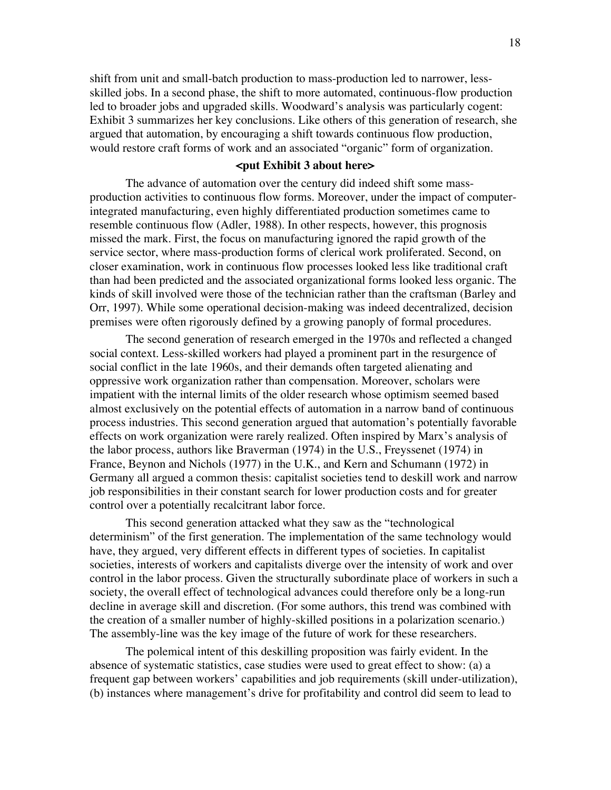shift from unit and small-batch production to mass-production led to narrower, lessskilled jobs. In a second phase, the shift to more automated, continuous-flow production led to broader jobs and upgraded skills. Woodward's analysis was particularly cogent: Exhibit 3 summarizes her key conclusions. Like others of this generation of research, she argued that automation, by encouraging a shift towards continuous flow production, would restore craft forms of work and an associated "organic" form of organization.

## **<put Exhibit 3 about here>**

The advance of automation over the century did indeed shift some massproduction activities to continuous flow forms. Moreover, under the impact of computerintegrated manufacturing, even highly differentiated production sometimes came to resemble continuous flow (Adler, 1988). In other respects, however, this prognosis missed the mark. First, the focus on manufacturing ignored the rapid growth of the service sector, where mass-production forms of clerical work proliferated. Second, on closer examination, work in continuous flow processes looked less like traditional craft than had been predicted and the associated organizational forms looked less organic. The kinds of skill involved were those of the technician rather than the craftsman (Barley and Orr, 1997). While some operational decision-making was indeed decentralized, decision premises were often rigorously defined by a growing panoply of formal procedures.

The second generation of research emerged in the 1970s and reflected a changed social context. Less-skilled workers had played a prominent part in the resurgence of social conflict in the late 1960s, and their demands often targeted alienating and oppressive work organization rather than compensation. Moreover, scholars were impatient with the internal limits of the older research whose optimism seemed based almost exclusively on the potential effects of automation in a narrow band of continuous process industries. This second generation argued that automation's potentially favorable effects on work organization were rarely realized. Often inspired by Marx's analysis of the labor process, authors like Braverman (1974) in the U.S., Freyssenet (1974) in France, Beynon and Nichols (1977) in the U.K., and Kern and Schumann (1972) in Germany all argued a common thesis: capitalist societies tend to deskill work and narrow job responsibilities in their constant search for lower production costs and for greater control over a potentially recalcitrant labor force.

This second generation attacked what they saw as the "technological determinism" of the first generation. The implementation of the same technology would have, they argued, very different effects in different types of societies. In capitalist societies, interests of workers and capitalists diverge over the intensity of work and over control in the labor process. Given the structurally subordinate place of workers in such a society, the overall effect of technological advances could therefore only be a long-run decline in average skill and discretion. (For some authors, this trend was combined with the creation of a smaller number of highly-skilled positions in a polarization scenario.) The assembly-line was the key image of the future of work for these researchers.

The polemical intent of this deskilling proposition was fairly evident. In the absence of systematic statistics, case studies were used to great effect to show: (a) a frequent gap between workers' capabilities and job requirements (skill under-utilization), (b) instances where management's drive for profitability and control did seem to lead to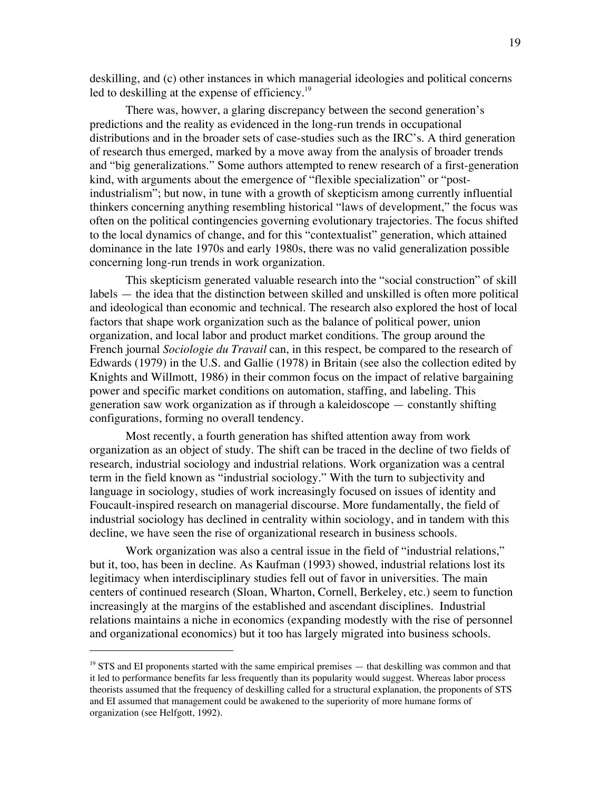deskilling, and (c) other instances in which managerial ideologies and political concerns led to deskilling at the expense of efficiency.<sup>19</sup>

There was, howver, a glaring discrepancy between the second generation's predictions and the reality as evidenced in the long-run trends in occupational distributions and in the broader sets of case-studies such as the IRC's. A third generation of research thus emerged, marked by a move away from the analysis of broader trends and "big generalizations." Some authors attempted to renew research of a first-generation kind, with arguments about the emergence of "flexible specialization" or "postindustrialism"; but now, in tune with a growth of skepticism among currently influential thinkers concerning anything resembling historical "laws of development," the focus was often on the political contingencies governing evolutionary trajectories. The focus shifted to the local dynamics of change, and for this "contextualist" generation, which attained dominance in the late 1970s and early 1980s, there was no valid generalization possible concerning long-run trends in work organization.

This skepticism generated valuable research into the "social construction" of skill labels — the idea that the distinction between skilled and unskilled is often more political and ideological than economic and technical. The research also explored the host of local factors that shape work organization such as the balance of political power, union organization, and local labor and product market conditions. The group around the French journal *Sociologie du Travail* can, in this respect, be compared to the research of Edwards (1979) in the U.S. and Gallie (1978) in Britain (see also the collection edited by Knights and Willmott, 1986) in their common focus on the impact of relative bargaining power and specific market conditions on automation, staffing, and labeling. This generation saw work organization as if through a kaleidoscope — constantly shifting configurations, forming no overall tendency.

Most recently, a fourth generation has shifted attention away from work organization as an object of study. The shift can be traced in the decline of two fields of research, industrial sociology and industrial relations. Work organization was a central term in the field known as "industrial sociology." With the turn to subjectivity and language in sociology, studies of work increasingly focused on issues of identity and Foucault-inspired research on managerial discourse. More fundamentally, the field of industrial sociology has declined in centrality within sociology, and in tandem with this decline, we have seen the rise of organizational research in business schools.

Work organization was also a central issue in the field of "industrial relations," but it, too, has been in decline. As Kaufman (1993) showed, industrial relations lost its legitimacy when interdisciplinary studies fell out of favor in universities. The main centers of continued research (Sloan, Wharton, Cornell, Berkeley, etc.) seem to function increasingly at the margins of the established and ascendant disciplines. Industrial relations maintains a niche in economics (expanding modestly with the rise of personnel and organizational economics) but it too has largely migrated into business schools.

<sup>&</sup>lt;sup>19</sup> STS and EI proponents started with the same empirical premises — that deskilling was common and that it led to performance benefits far less frequently than its popularity would suggest. Whereas labor process theorists assumed that the frequency of deskilling called for a structural explanation, the proponents of STS and EI assumed that management could be awakened to the superiority of more humane forms of organization (see Helfgott, 1992).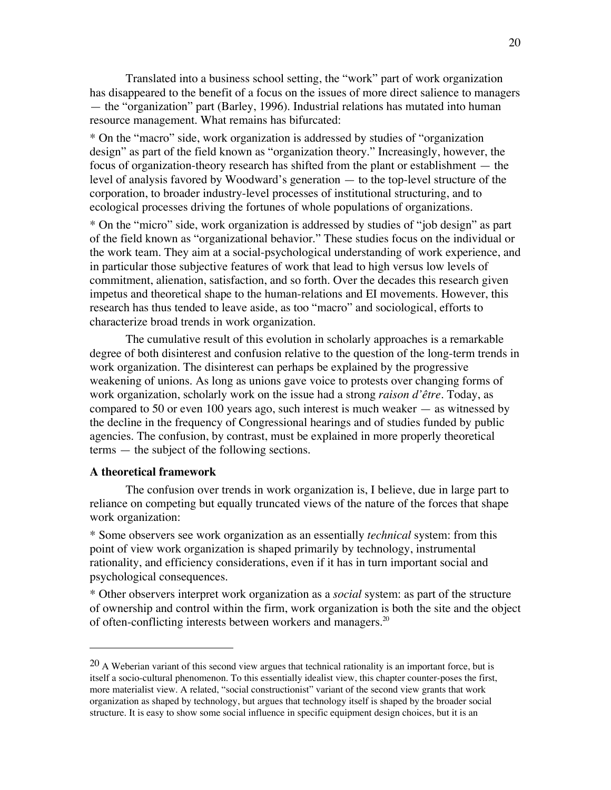Translated into a business school setting, the "work" part of work organization has disappeared to the benefit of a focus on the issues of more direct salience to managers — the "organization" part (Barley, 1996). Industrial relations has mutated into human resource management. What remains has bifurcated:

\* On the "macro" side, work organization is addressed by studies of "organization design" as part of the field known as "organization theory." Increasingly, however, the focus of organization-theory research has shifted from the plant or establishment — the level of analysis favored by Woodward's generation — to the top-level structure of the corporation, to broader industry-level processes of institutional structuring, and to ecological processes driving the fortunes of whole populations of organizations.

\* On the "micro" side, work organization is addressed by studies of "job design" as part of the field known as "organizational behavior." These studies focus on the individual or the work team. They aim at a social-psychological understanding of work experience, and in particular those subjective features of work that lead to high versus low levels of commitment, alienation, satisfaction, and so forth. Over the decades this research given impetus and theoretical shape to the human-relations and EI movements. However, this research has thus tended to leave aside, as too "macro" and sociological, efforts to characterize broad trends in work organization.

The cumulative result of this evolution in scholarly approaches is a remarkable degree of both disinterest and confusion relative to the question of the long-term trends in work organization. The disinterest can perhaps be explained by the progressive weakening of unions. As long as unions gave voice to protests over changing forms of work organization, scholarly work on the issue had a strong *raison d'être*. Today, as compared to 50 or even 100 years ago, such interest is much weaker — as witnessed by the decline in the frequency of Congressional hearings and of studies funded by public agencies. The confusion, by contrast, must be explained in more properly theoretical terms — the subject of the following sections.

## **A theoretical framework**

 $\overline{a}$ 

The confusion over trends in work organization is, I believe, due in large part to reliance on competing but equally truncated views of the nature of the forces that shape work organization:

\* Some observers see work organization as an essentially *technical* system: from this point of view work organization is shaped primarily by technology, instrumental rationality, and efficiency considerations, even if it has in turn important social and psychological consequences.

\* Other observers interpret work organization as a *social* system: as part of the structure of ownership and control within the firm, work organization is both the site and the object of often-conflicting interests between workers and managers.<sup>20</sup>

 $20$  A Weberian variant of this second view argues that technical rationality is an important force, but is itself a socio-cultural phenomenon. To this essentially idealist view, this chapter counter-poses the first, more materialist view. A related, "social constructionist" variant of the second view grants that work organization as shaped by technology, but argues that technology itself is shaped by the broader social structure. It is easy to show some social influence in specific equipment design choices, but it is an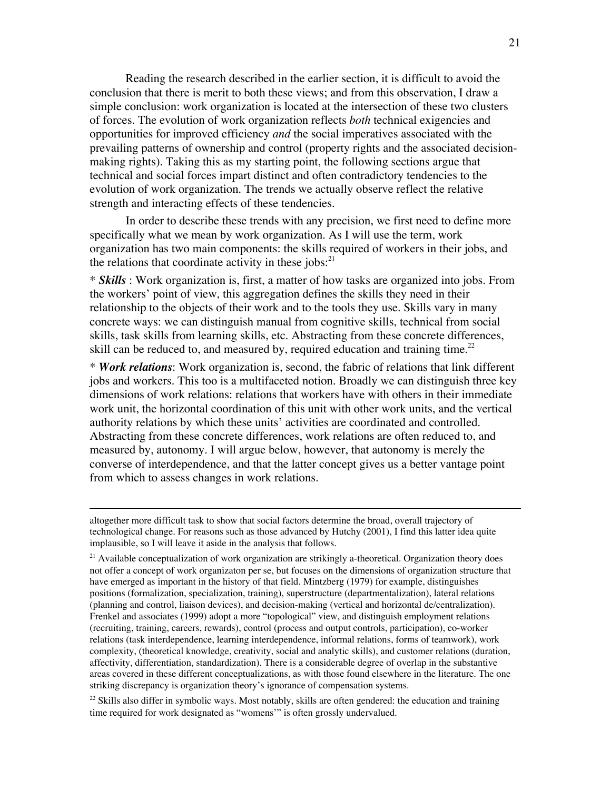Reading the research described in the earlier section, it is difficult to avoid the conclusion that there is merit to both these views; and from this observation, I draw a simple conclusion: work organization is located at the intersection of these two clusters of forces. The evolution of work organization reflects *both* technical exigencies and opportunities for improved efficiency *and* the social imperatives associated with the prevailing patterns of ownership and control (property rights and the associated decisionmaking rights). Taking this as my starting point, the following sections argue that technical and social forces impart distinct and often contradictory tendencies to the evolution of work organization. The trends we actually observe reflect the relative strength and interacting effects of these tendencies.

In order to describe these trends with any precision, we first need to define more specifically what we mean by work organization. As I will use the term, work organization has two main components: the skills required of workers in their jobs, and the relations that coordinate activity in these jobs: $^{21}$ 

\* *Skills* : Work organization is, first, a matter of how tasks are organized into jobs. From the workers' point of view, this aggregation defines the skills they need in their relationship to the objects of their work and to the tools they use. Skills vary in many concrete ways: we can distinguish manual from cognitive skills, technical from social skills, task skills from learning skills, etc. Abstracting from these concrete differences, skill can be reduced to, and measured by, required education and training time.<sup>22</sup>

\* *Work relations*: Work organization is, second, the fabric of relations that link different jobs and workers. This too is a multifaceted notion. Broadly we can distinguish three key dimensions of work relations: relations that workers have with others in their immediate work unit, the horizontal coordination of this unit with other work units, and the vertical authority relations by which these units' activities are coordinated and controlled. Abstracting from these concrete differences, work relations are often reduced to, and measured by, autonomy. I will argue below, however, that autonomy is merely the converse of interdependence, and that the latter concept gives us a better vantage point from which to assess changes in work relations.

 $\overline{a}$ 

<sup>22</sup> Skills also differ in symbolic ways. Most notably, skills are often gendered: the education and training time required for work designated as "womens'" is often grossly undervalued.

altogether more difficult task to show that social factors determine the broad, overall trajectory of technological change. For reasons such as those advanced by Hutchy (2001), I find this latter idea quite implausible, so I will leave it aside in the analysis that follows.

<sup>&</sup>lt;sup>21</sup> Available conceptualization of work organization are strikingly a-theoretical. Organization theory does not offer a concept of work organizaton per se, but focuses on the dimensions of organization structure that have emerged as important in the history of that field. Mintzberg (1979) for example, distinguishes positions (formalization, specialization, training), superstructure (departmentalization), lateral relations (planning and control, liaison devices), and decision-making (vertical and horizontal de/centralization). Frenkel and associates (1999) adopt a more "topological" view, and distinguish employment relations (recruiting, training, careers, rewards), control (process and output controls, participation), co-worker relations (task interdependence, learning interdependence, informal relations, forms of teamwork), work complexity, (theoretical knowledge, creativity, social and analytic skills), and customer relations (duration, affectivity, differentiation, standardization). There is a considerable degree of overlap in the substantive areas covered in these different conceptualizations, as with those found elsewhere in the literature. The one striking discrepancy is organization theory's ignorance of compensation systems.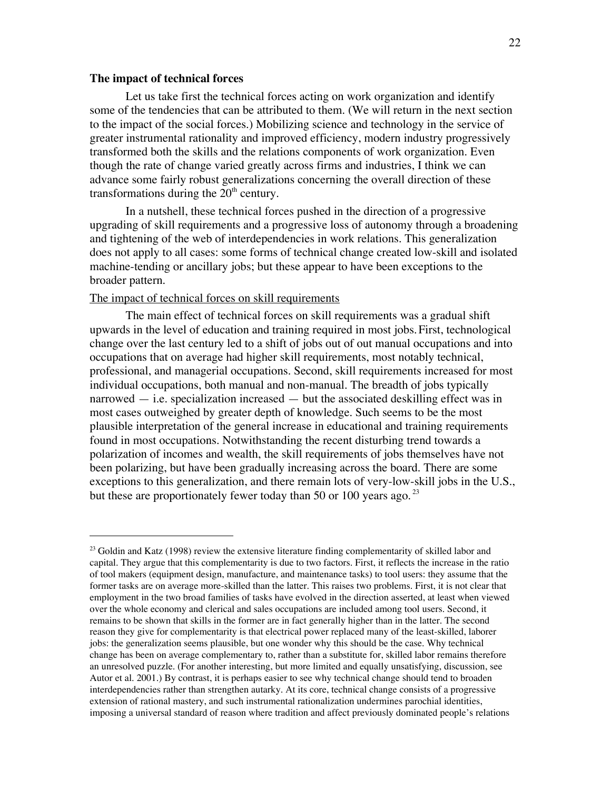#### **The impact of technical forces**

Let us take first the technical forces acting on work organization and identify some of the tendencies that can be attributed to them. (We will return in the next section to the impact of the social forces.) Mobilizing science and technology in the service of greater instrumental rationality and improved efficiency, modern industry progressively transformed both the skills and the relations components of work organization. Even though the rate of change varied greatly across firms and industries, I think we can advance some fairly robust generalizations concerning the overall direction of these transformations during the  $20<sup>th</sup>$  century.

In a nutshell, these technical forces pushed in the direction of a progressive upgrading of skill requirements and a progressive loss of autonomy through a broadening and tightening of the web of interdependencies in work relations. This generalization does not apply to all cases: some forms of technical change created low-skill and isolated machine-tending or ancillary jobs; but these appear to have been exceptions to the broader pattern.

## The impact of technical forces on skill requirements

The main effect of technical forces on skill requirements was a gradual shift upwards in the level of education and training required in most jobs.First, technological change over the last century led to a shift of jobs out of out manual occupations and into occupations that on average had higher skill requirements, most notably technical, professional, and managerial occupations. Second, skill requirements increased for most individual occupations, both manual and non-manual. The breadth of jobs typically narrowed — i.e. specialization increased — but the associated deskilling effect was in most cases outweighed by greater depth of knowledge. Such seems to be the most plausible interpretation of the general increase in educational and training requirements found in most occupations. Notwithstanding the recent disturbing trend towards a polarization of incomes and wealth, the skill requirements of jobs themselves have not been polarizing, but have been gradually increasing across the board. There are some exceptions to this generalization, and there remain lots of very-low-skill jobs in the U.S., but these are proportionately fewer today than 50 or 100 years ago.  $^{23}$ 

<sup>&</sup>lt;sup>23</sup> Goldin and Katz (1998) review the extensive literature finding complementarity of skilled labor and <sup>23</sup> capital. They argue that this complementarity is due to two factors. First, it reflects the increase in the ratio of tool makers (equipment design, manufacture, and maintenance tasks) to tool users: they assume that the former tasks are on average more-skilled than the latter. This raises two problems. First, it is not clear that employment in the two broad families of tasks have evolved in the direction asserted, at least when viewed over the whole economy and clerical and sales occupations are included among tool users. Second, it remains to be shown that skills in the former are in fact generally higher than in the latter. The second reason they give for complementarity is that electrical power replaced many of the least-skilled, laborer jobs: the generalization seems plausible, but one wonder why this should be the case. Why technical change has been on average complementary to, rather than a substitute for, skilled labor remains therefore an unresolved puzzle. (For another interesting, but more limited and equally unsatisfying, discussion, see Autor et al. 2001.) By contrast, it is perhaps easier to see why technical change should tend to broaden interdependencies rather than strengthen autarky. At its core, technical change consists of a progressive extension of rational mastery, and such instrumental rationalization undermines parochial identities, imposing a universal standard of reason where tradition and affect previously dominated people's relations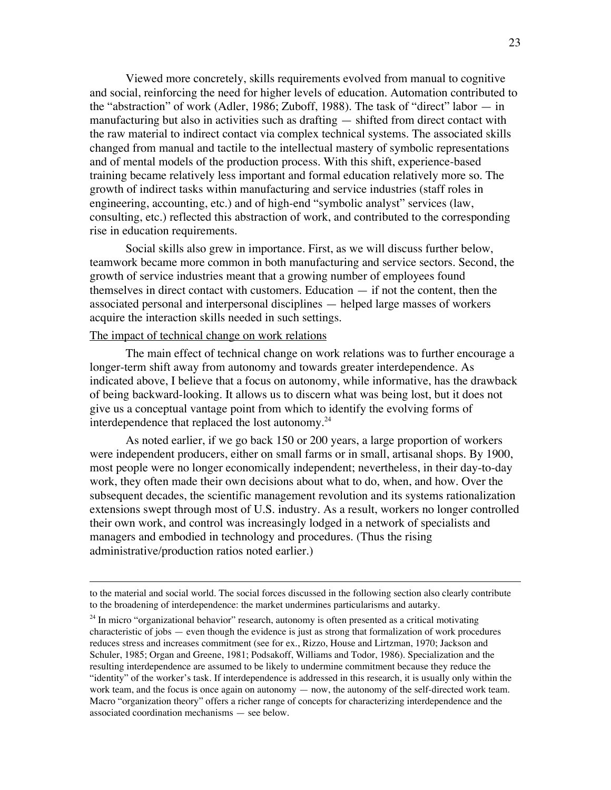Viewed more concretely, skills requirements evolved from manual to cognitive and social, reinforcing the need for higher levels of education. Automation contributed to the "abstraction" of work (Adler, 1986; Zuboff, 1988). The task of "direct" labor — in manufacturing but also in activities such as drafting — shifted from direct contact with the raw material to indirect contact via complex technical systems. The associated skills changed from manual and tactile to the intellectual mastery of symbolic representations and of mental models of the production process. With this shift, experience-based training became relatively less important and formal education relatively more so. The growth of indirect tasks within manufacturing and service industries (staff roles in engineering, accounting, etc.) and of high-end "symbolic analyst" services (law, consulting, etc.) reflected this abstraction of work, and contributed to the corresponding rise in education requirements.

Social skills also grew in importance. First, as we will discuss further below, teamwork became more common in both manufacturing and service sectors. Second, the growth of service industries meant that a growing number of employees found themselves in direct contact with customers. Education — if not the content, then the associated personal and interpersonal disciplines — helped large masses of workers acquire the interaction skills needed in such settings.

## The impact of technical change on work relations

 $\overline{a}$ 

The main effect of technical change on work relations was to further encourage a longer-term shift away from autonomy and towards greater interdependence. As indicated above, I believe that a focus on autonomy, while informative, has the drawback of being backward-looking. It allows us to discern what was being lost, but it does not give us a conceptual vantage point from which to identify the evolving forms of interdependence that replaced the lost autonomy. $^{24}$ 

As noted earlier, if we go back 150 or 200 years, a large proportion of workers were independent producers, either on small farms or in small, artisanal shops. By 1900, most people were no longer economically independent; nevertheless, in their day-to-day work, they often made their own decisions about what to do, when, and how. Over the subsequent decades, the scientific management revolution and its systems rationalization extensions swept through most of U.S. industry. As a result, workers no longer controlled their own work, and control was increasingly lodged in a network of specialists and managers and embodied in technology and procedures. (Thus the rising administrative/production ratios noted earlier.)

to the material and social world. The social forces discussed in the following section also clearly contribute to the broadening of interdependence: the market undermines particularisms and autarky.

<sup>&</sup>lt;sup>24</sup> In micro "organizational behavior" research, autonomy is often presented as a critical motivating characteristic of jobs — even though the evidence is just as strong that formalization of work procedures reduces stress and increases commitment (see for ex., Rizzo, House and Lirtzman, 1970; Jackson and Schuler, 1985; Organ and Greene, 1981; Podsakoff, Williams and Todor, 1986). Specialization and the resulting interdependence are assumed to be likely to undermine commitment because they reduce the "identity" of the worker's task. If interdependence is addressed in this research, it is usually only within the work team, and the focus is once again on autonomy — now, the autonomy of the self-directed work team. Macro "organization theory" offers a richer range of concepts for characterizing interdependence and the associated coordination mechanisms — see below.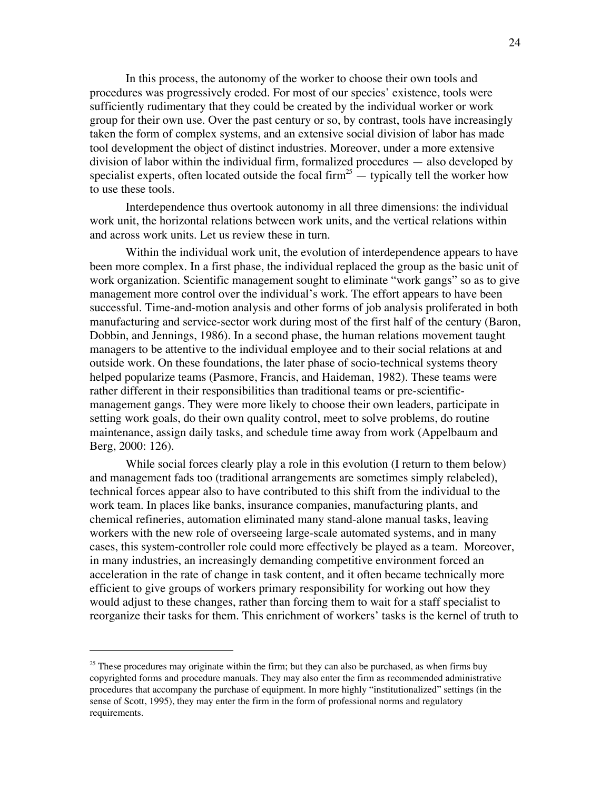In this process, the autonomy of the worker to choose their own tools and procedures was progressively eroded. For most of our species' existence, tools were sufficiently rudimentary that they could be created by the individual worker or work group for their own use. Over the past century or so, by contrast, tools have increasingly taken the form of complex systems, and an extensive social division of labor has made tool development the object of distinct industries. Moreover, under a more extensive division of labor within the individual firm, formalized procedures — also developed by specialist experts, often located outside the focal firm<sup>25</sup>  $-$  typically tell the worker how to use these tools.

Interdependence thus overtook autonomy in all three dimensions: the individual work unit, the horizontal relations between work units, and the vertical relations within and across work units. Let us review these in turn.

Within the individual work unit, the evolution of interdependence appears to have been more complex. In a first phase, the individual replaced the group as the basic unit of work organization. Scientific management sought to eliminate "work gangs" so as to give management more control over the individual's work. The effort appears to have been successful. Time-and-motion analysis and other forms of job analysis proliferated in both manufacturing and service-sector work during most of the first half of the century (Baron, Dobbin, and Jennings, 1986). In a second phase, the human relations movement taught managers to be attentive to the individual employee and to their social relations at and outside work. On these foundations, the later phase of socio-technical systems theory helped popularize teams (Pasmore, Francis, and Haideman, 1982). These teams were rather different in their responsibilities than traditional teams or pre-scientificmanagement gangs. They were more likely to choose their own leaders, participate in setting work goals, do their own quality control, meet to solve problems, do routine maintenance, assign daily tasks, and schedule time away from work (Appelbaum and Berg, 2000: 126).

While social forces clearly play a role in this evolution (I return to them below) and management fads too (traditional arrangements are sometimes simply relabeled), technical forces appear also to have contributed to this shift from the individual to the work team. In places like banks, insurance companies, manufacturing plants, and chemical refineries, automation eliminated many stand-alone manual tasks, leaving workers with the new role of overseeing large-scale automated systems, and in many cases, this system-controller role could more effectively be played as a team. Moreover, in many industries, an increasingly demanding competitive environment forced an acceleration in the rate of change in task content, and it often became technically more efficient to give groups of workers primary responsibility for working out how they would adjust to these changes, rather than forcing them to wait for a staff specialist to reorganize their tasks for them. This enrichment of workers' tasks is the kernel of truth to

<sup>&</sup>lt;sup>25</sup> These procedures may originate within the firm; but they can also be purchased, as when firms buy copyrighted forms and procedure manuals. They may also enter the firm as recommended administrative procedures that accompany the purchase of equipment. In more highly "institutionalized" settings (in the sense of Scott, 1995), they may enter the firm in the form of professional norms and regulatory requirements.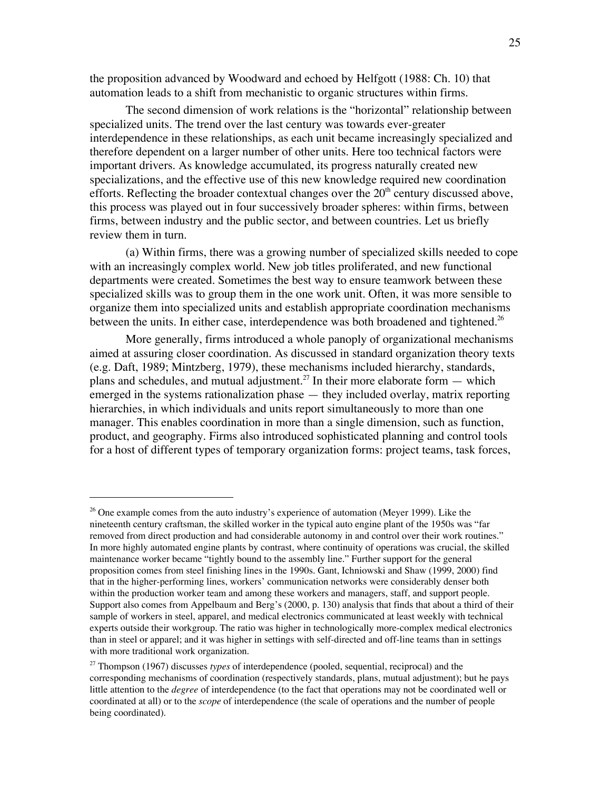the proposition advanced by Woodward and echoed by Helfgott (1988: Ch. 10) that automation leads to a shift from mechanistic to organic structures within firms.

The second dimension of work relations is the "horizontal" relationship between specialized units. The trend over the last century was towards ever-greater interdependence in these relationships, as each unit became increasingly specialized and therefore dependent on a larger number of other units. Here too technical factors were important drivers. As knowledge accumulated, its progress naturally created new specializations, and the effective use of this new knowledge required new coordination efforts. Reflecting the broader contextual changes over the  $20<sup>th</sup>$  century discussed above, this process was played out in four successively broader spheres: within firms, between firms, between industry and the public sector, and between countries. Let us briefly review them in turn.

(a) Within firms, there was a growing number of specialized skills needed to cope with an increasingly complex world. New job titles proliferated, and new functional departments were created. Sometimes the best way to ensure teamwork between these specialized skills was to group them in the one work unit. Often, it was more sensible to organize them into specialized units and establish appropriate coordination mechanisms between the units. In either case, interdependence was both broadened and tightened.<sup>26</sup>

More generally, firms introduced a whole panoply of organizational mechanisms aimed at assuring closer coordination. As discussed in standard organization theory texts (e.g. Daft, 1989; Mintzberg, 1979), these mechanisms included hierarchy, standards, plans and schedules, and mutual adjustment.<sup>27</sup> In their more elaborate form  $-$  which emerged in the systems rationalization phase — they included overlay, matrix reporting hierarchies, in which individuals and units report simultaneously to more than one manager. This enables coordination in more than a single dimension, such as function, product, and geography. Firms also introduced sophisticated planning and control tools for a host of different types of temporary organization forms: project teams, task forces,

 $\overline{a}$ 

<sup>&</sup>lt;sup>26</sup> One example comes from the auto industry's experience of automation (Meyer 1999). Like the nineteenth century craftsman, the skilled worker in the typical auto engine plant of the 1950s was "far removed from direct production and had considerable autonomy in and control over their work routines." In more highly automated engine plants by contrast, where continuity of operations was crucial, the skilled maintenance worker became "tightly bound to the assembly line." Further support for the general proposition comes from steel finishing lines in the 1990s. Gant, Ichniowski and Shaw (1999, 2000) find that in the higher-performing lines, workers' communication networks were considerably denser both within the production worker team and among these workers and managers, staff, and support people. Support also comes from Appelbaum and Berg's (2000, p. 130) analysis that finds that about a third of their sample of workers in steel, apparel, and medical electronics communicated at least weekly with technical experts outside their workgroup. The ratio was higher in technologically more-complex medical electronics than in steel or apparel; and it was higher in settings with self-directed and off-line teams than in settings with more traditional work organization.

<sup>27</sup> Thompson (1967) discusses *types* of interdependence (pooled, sequential, reciprocal) and the corresponding mechanisms of coordination (respectively standards, plans, mutual adjustment); but he pays little attention to the *degree* of interdependence (to the fact that operations may not be coordinated well or coordinated at all) or to the *scope* of interdependence (the scale of operations and the number of people being coordinated).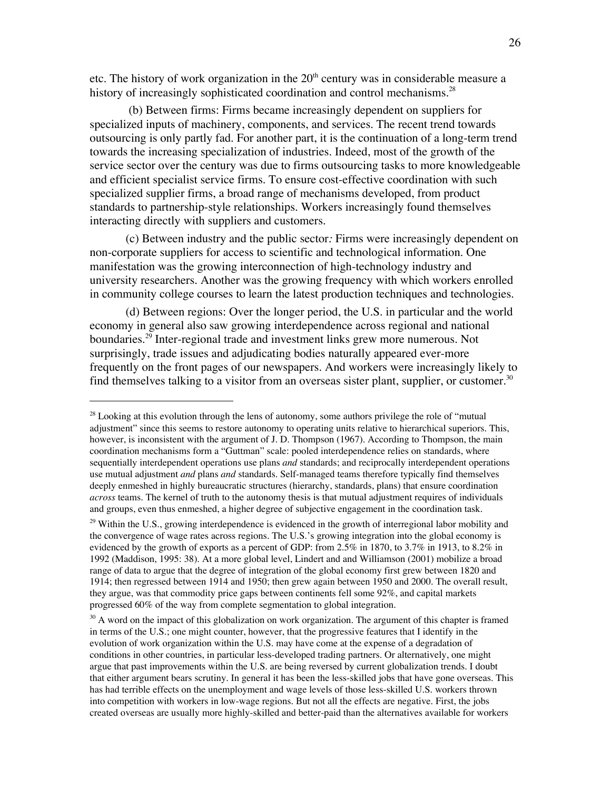etc. The history of work organization in the  $20<sup>th</sup>$  century was in considerable measure a history of increasingly sophisticated coordination and control mechanisms. $^{28}$ 

 (b) Between firms: Firms became increasingly dependent on suppliers for specialized inputs of machinery, components, and services. The recent trend towards outsourcing is only partly fad. For another part, it is the continuation of a long-term trend towards the increasing specialization of industries. Indeed, most of the growth of the service sector over the century was due to firms outsourcing tasks to more knowledgeable and efficient specialist service firms. To ensure cost-effective coordination with such specialized supplier firms, a broad range of mechanisms developed, from product standards to partnership-style relationships. Workers increasingly found themselves interacting directly with suppliers and customers.

(c) Between industry and the public sector*:* Firms were increasingly dependent on non-corporate suppliers for access to scientific and technological information. One manifestation was the growing interconnection of high-technology industry and university researchers. Another was the growing frequency with which workers enrolled in community college courses to learn the latest production techniques and technologies.

(d) Between regions: Over the longer period, the U.S. in particular and the world economy in general also saw growing interdependence across regional and national boundaries.<sup>29</sup> Inter-regional trade and investment links grew more numerous. Not surprisingly, trade issues and adjudicating bodies naturally appeared ever-more frequently on the front pages of our newspapers. And workers were increasingly likely to find themselves talking to a visitor from an overseas sister plant, supplier, or customer.<sup>30</sup>

 $\overline{a}$ 

<sup>29</sup> Within the U.S., growing interdependence is evidenced in the growth of interregional labor mobility and the convergence of wage rates across regions. The U.S.'s growing integration into the global economy is evidenced by the growth of exports as a percent of GDP: from 2.5% in 1870, to 3.7% in 1913, to 8.2% in 1992 (Maddison, 1995: 38). At a more global level, Lindert and and Williamson (2001) mobilize a broad range of data to argue that the degree of integration of the global economy first grew between 1820 and 1914; then regressed between 1914 and 1950; then grew again between 1950 and 2000. The overall result, they argue, was that commodity price gaps between continents fell some 92%, and capital markets progressed 60% of the way from complete segmentation to global integration.

<sup>30</sup> A word on the impact of this globalization on work organization. The argument of this chapter is framed in terms of the U.S.; one might counter, however, that the progressive features that I identify in the evolution of work organization within the U.S. may have come at the expense of a degradation of conditions in other countries, in particular less-developed trading partners. Or alternatively, one might argue that past improvements within the U.S. are being reversed by current globalization trends. I doubt that either argument bears scrutiny. In general it has been the less-skilled jobs that have gone overseas. This has had terrible effects on the unemployment and wage levels of those less-skilled U.S. workers thrown into competition with workers in low-wage regions. But not all the effects are negative. First, the jobs created overseas are usually more highly-skilled and better-paid than the alternatives available for workers

<sup>&</sup>lt;sup>28</sup> Looking at this evolution through the lens of autonomy, some authors privilege the role of "mutual adjustment" since this seems to restore autonomy to operating units relative to hierarchical superiors. This, however, is inconsistent with the argument of J. D. Thompson (1967). According to Thompson, the main coordination mechanisms form a "Guttman" scale: pooled interdependence relies on standards, where sequentially interdependent operations use plans *and* standards; and reciprocally interdependent operations use mutual adjustment *and* plans *and* standards. Self-managed teams therefore typically find themselves deeply enmeshed in highly bureaucratic structures (hierarchy, standards, plans) that ensure coordination *across* teams. The kernel of truth to the autonomy thesis is that mutual adjustment requires of individuals and groups, even thus enmeshed, a higher degree of subjective engagement in the coordination task.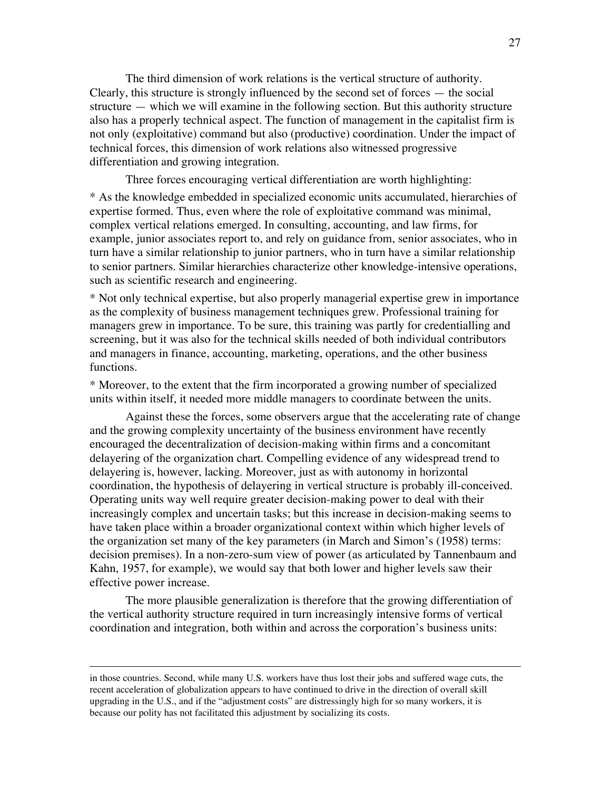The third dimension of work relations is the vertical structure of authority. Clearly, this structure is strongly influenced by the second set of forces — the social structure — which we will examine in the following section. But this authority structure also has a properly technical aspect. The function of management in the capitalist firm is not only (exploitative) command but also (productive) coordination. Under the impact of technical forces, this dimension of work relations also witnessed progressive differentiation and growing integration.

Three forces encouraging vertical differentiation are worth highlighting:

\* As the knowledge embedded in specialized economic units accumulated, hierarchies of expertise formed. Thus, even where the role of exploitative command was minimal, complex vertical relations emerged. In consulting, accounting, and law firms, for example, junior associates report to, and rely on guidance from, senior associates, who in turn have a similar relationship to junior partners, who in turn have a similar relationship to senior partners. Similar hierarchies characterize other knowledge-intensive operations, such as scientific research and engineering.

\* Not only technical expertise, but also properly managerial expertise grew in importance as the complexity of business management techniques grew. Professional training for managers grew in importance. To be sure, this training was partly for credentialling and screening, but it was also for the technical skills needed of both individual contributors and managers in finance, accounting, marketing, operations, and the other business functions.

\* Moreover, to the extent that the firm incorporated a growing number of specialized units within itself, it needed more middle managers to coordinate between the units.

Against these the forces, some observers argue that the accelerating rate of change and the growing complexity uncertainty of the business environment have recently encouraged the decentralization of decision-making within firms and a concomitant delayering of the organization chart. Compelling evidence of any widespread trend to delayering is, however, lacking. Moreover, just as with autonomy in horizontal coordination, the hypothesis of delayering in vertical structure is probably ill-conceived. Operating units way well require greater decision-making power to deal with their increasingly complex and uncertain tasks; but this increase in decision-making seems to have taken place within a broader organizational context within which higher levels of the organization set many of the key parameters (in March and Simon's (1958) terms: decision premises). In a non-zero-sum view of power (as articulated by Tannenbaum and Kahn, 1957, for example), we would say that both lower and higher levels saw their effective power increase.

The more plausible generalization is therefore that the growing differentiation of the vertical authority structure required in turn increasingly intensive forms of vertical coordination and integration, both within and across the corporation's business units:

 $\overline{a}$ 

in those countries. Second, while many U.S. workers have thus lost their jobs and suffered wage cuts, the recent acceleration of globalization appears to have continued to drive in the direction of overall skill upgrading in the U.S., and if the "adjustment costs" are distressingly high for so many workers, it is because our polity has not facilitated this adjustment by socializing its costs.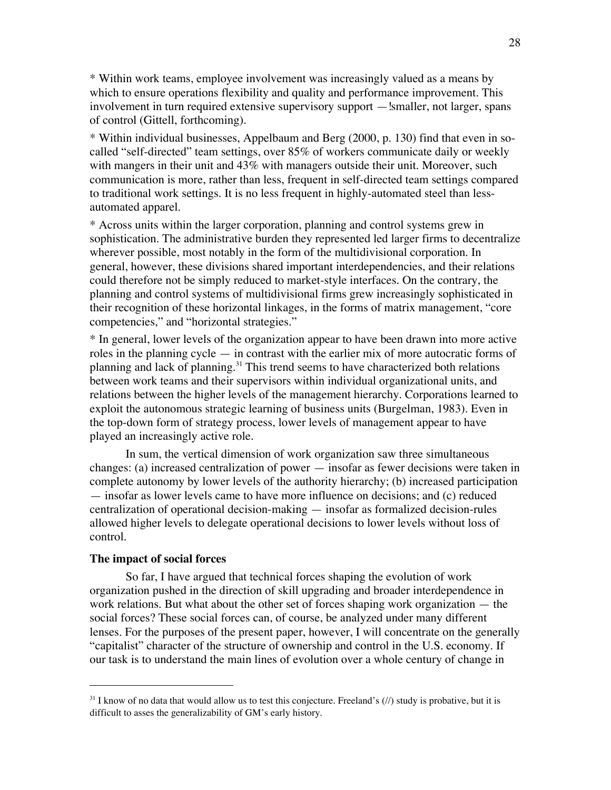\* Within work teams, employee involvement was increasingly valued as a means by which to ensure operations flexibility and quality and performance improvement. This involvement in turn required extensive supervisory support — smaller, not larger, spans of control (Gittell, forthcoming).

\* Within individual businesses, Appelbaum and Berg (2000, p. 130) find that even in socalled "self-directed" team settings, over 85% of workers communicate daily or weekly with mangers in their unit and 43% with managers outside their unit. Moreover, such communication is more, rather than less, frequent in self-directed team settings compared to traditional work settings. It is no less frequent in highly-automated steel than lessautomated apparel.

\* Across units within the larger corporation, planning and control systems grew in sophistication. The administrative burden they represented led larger firms to decentralize wherever possible, most notably in the form of the multidivisional corporation. In general, however, these divisions shared important interdependencies, and their relations could therefore not be simply reduced to market-style interfaces. On the contrary, the planning and control systems of multidivisional firms grew increasingly sophisticated in their recognition of these horizontal linkages, in the forms of matrix management, "core competencies," and "horizontal strategies."

\* In general, lower levels of the organization appear to have been drawn into more active roles in the planning cycle — in contrast with the earlier mix of more autocratic forms of planning and lack of planning.<sup>31</sup> This trend seems to have characterized both relations between work teams and their supervisors within individual organizational units, and relations between the higher levels of the management hierarchy. Corporations learned to exploit the autonomous strategic learning of business units (Burgelman, 1983). Even in the top-down form of strategy process, lower levels of management appear to have played an increasingly active role.

In sum, the vertical dimension of work organization saw three simultaneous changes: (a) increased centralization of power — insofar as fewer decisions were taken in complete autonomy by lower levels of the authority hierarchy; (b) increased participation — insofar as lower levels came to have more influence on decisions; and (c) reduced centralization of operational decision-making — insofar as formalized decision-rules allowed higher levels to delegate operational decisions to lower levels without loss of control.

## **The impact of social forces**

 $\overline{a}$ 

So far, I have argued that technical forces shaping the evolution of work organization pushed in the direction of skill upgrading and broader interdependence in work relations. But what about the other set of forces shaping work organization — the social forces? These social forces can, of course, be analyzed under many different lenses. For the purposes of the present paper, however, I will concentrate on the generally "capitalist" character of the structure of ownership and control in the U.S. economy. If our task is to understand the main lines of evolution over a whole century of change in

 $31$  I know of no data that would allow us to test this conjecture. Freeland's (//) study is probative, but it is difficult to asses the generalizability of GM's early history*.*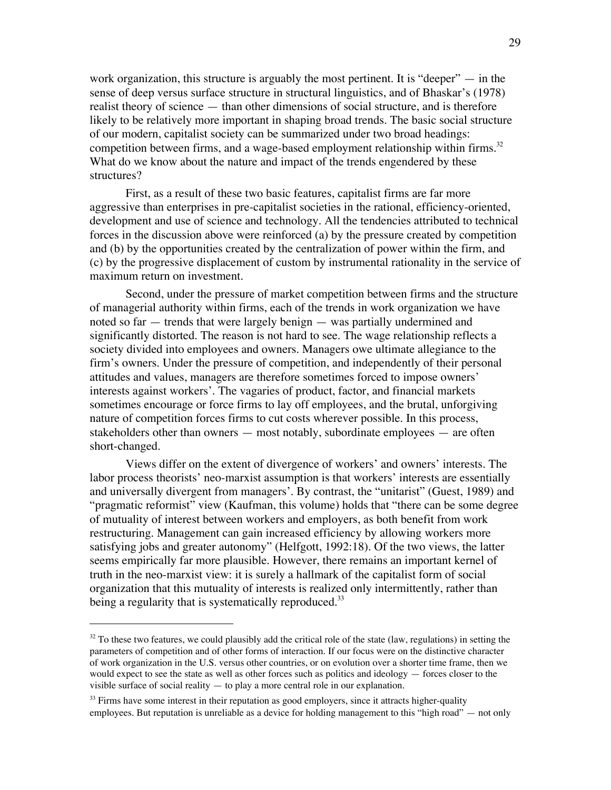work organization, this structure is arguably the most pertinent. It is "deeper"  $-$  in the sense of deep versus surface structure in structural linguistics, and of Bhaskar's (1978) realist theory of science — than other dimensions of social structure, and is therefore likely to be relatively more important in shaping broad trends. The basic social structure of our modern, capitalist society can be summarized under two broad headings: competition between firms, and a wage-based employment relationship within firms.<sup>32</sup> What do we know about the nature and impact of the trends engendered by these structures?

First, as a result of these two basic features, capitalist firms are far more aggressive than enterprises in pre-capitalist societies in the rational, efficiency-oriented, development and use of science and technology. All the tendencies attributed to technical forces in the discussion above were reinforced (a) by the pressure created by competition and (b) by the opportunities created by the centralization of power within the firm, and (c) by the progressive displacement of custom by instrumental rationality in the service of maximum return on investment.

Second, under the pressure of market competition between firms and the structure of managerial authority within firms, each of the trends in work organization we have noted so far — trends that were largely benign — was partially undermined and significantly distorted. The reason is not hard to see. The wage relationship reflects a society divided into employees and owners. Managers owe ultimate allegiance to the firm's owners. Under the pressure of competition, and independently of their personal attitudes and values, managers are therefore sometimes forced to impose owners' interests against workers'. The vagaries of product, factor, and financial markets sometimes encourage or force firms to lay off employees, and the brutal, unforgiving nature of competition forces firms to cut costs wherever possible. In this process, stakeholders other than owners — most notably, subordinate employees — are often short-changed.

Views differ on the extent of divergence of workers' and owners' interests. The labor process theorists' neo-marxist assumption is that workers' interests are essentially and universally divergent from managers'. By contrast, the "unitarist" (Guest, 1989) and "pragmatic reformist" view (Kaufman, this volume) holds that "there can be some degree of mutuality of interest between workers and employers, as both benefit from work restructuring. Management can gain increased efficiency by allowing workers more satisfying jobs and greater autonomy" (Helfgott, 1992:18). Of the two views, the latter seems empirically far more plausible. However, there remains an important kernel of truth in the neo-marxist view: it is surely a hallmark of the capitalist form of social organization that this mutuality of interests is realized only intermittently, rather than being a regularity that is systematically reproduced.<sup>33</sup>

 $\overline{a}$ 

 $32$  To these two features, we could plausibly add the critical role of the state (law, regulations) in setting the parameters of competition and of other forms of interaction. If our focus were on the distinctive character of work organization in the U.S. versus other countries, or on evolution over a shorter time frame, then we would expect to see the state as well as other forces such as politics and ideology — forces closer to the visible surface of social reality — to play a more central role in our explanation.

 $33$  Firms have some interest in their reputation as good employers, since it attracts higher-quality employees. But reputation is unreliable as a device for holding management to this "high road" — not only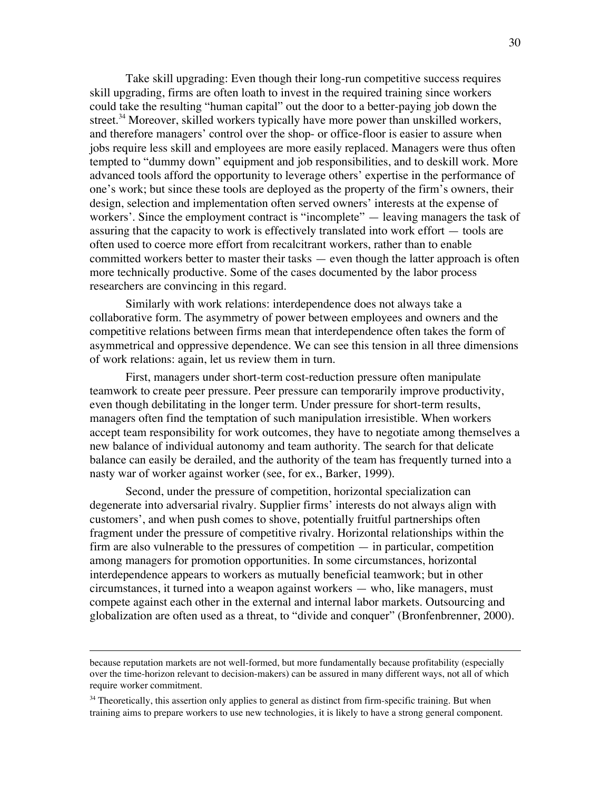Take skill upgrading: Even though their long-run competitive success requires skill upgrading, firms are often loath to invest in the required training since workers could take the resulting "human capital" out the door to a better-paying job down the street.<sup>34</sup> Moreover, skilled workers typically have more power than unskilled workers, and therefore managers' control over the shop- or office-floor is easier to assure when jobs require less skill and employees are more easily replaced. Managers were thus often tempted to "dummy down" equipment and job responsibilities, and to deskill work. More advanced tools afford the opportunity to leverage others' expertise in the performance of one's work; but since these tools are deployed as the property of the firm's owners, their design, selection and implementation often served owners' interests at the expense of workers'. Since the employment contract is "incomplete" — leaving managers the task of assuring that the capacity to work is effectively translated into work effort — tools are often used to coerce more effort from recalcitrant workers, rather than to enable committed workers better to master their tasks — even though the latter approach is often more technically productive. Some of the cases documented by the labor process researchers are convincing in this regard.

Similarly with work relations: interdependence does not always take a collaborative form. The asymmetry of power between employees and owners and the competitive relations between firms mean that interdependence often takes the form of asymmetrical and oppressive dependence. We can see this tension in all three dimensions of work relations: again, let us review them in turn.

First, managers under short-term cost-reduction pressure often manipulate teamwork to create peer pressure. Peer pressure can temporarily improve productivity, even though debilitating in the longer term. Under pressure for short-term results, managers often find the temptation of such manipulation irresistible. When workers accept team responsibility for work outcomes, they have to negotiate among themselves a new balance of individual autonomy and team authority. The search for that delicate balance can easily be derailed, and the authority of the team has frequently turned into a nasty war of worker against worker (see, for ex., Barker, 1999).

Second, under the pressure of competition, horizontal specialization can degenerate into adversarial rivalry. Supplier firms' interests do not always align with customers', and when push comes to shove, potentially fruitful partnerships often fragment under the pressure of competitive rivalry. Horizontal relationships within the firm are also vulnerable to the pressures of competition — in particular, competition among managers for promotion opportunities. In some circumstances, horizontal interdependence appears to workers as mutually beneficial teamwork; but in other circumstances, it turned into a weapon against workers — who, like managers, must compete against each other in the external and internal labor markets. Outsourcing and globalization are often used as a threat, to "divide and conquer" (Bronfenbrenner, 2000).

 $\overline{a}$ 

because reputation markets are not well-formed, but more fundamentally because profitability (especially over the time-horizon relevant to decision-makers) can be assured in many different ways, not all of which require worker commitment.

<sup>&</sup>lt;sup>34</sup> Theoretically, this assertion only applies to general as distinct from firm-specific training. But when training aims to prepare workers to use new technologies, it is likely to have a strong general component.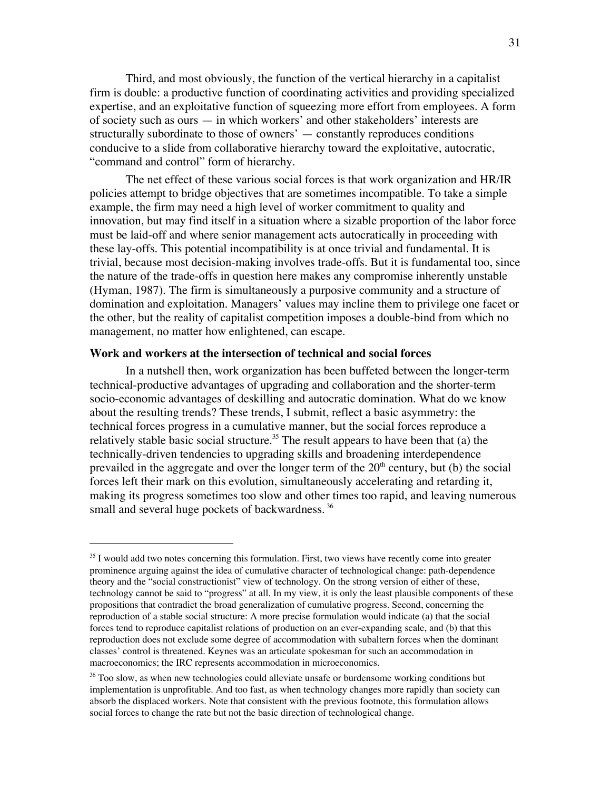Third, and most obviously, the function of the vertical hierarchy in a capitalist firm is double: a productive function of coordinating activities and providing specialized expertise, and an exploitative function of squeezing more effort from employees. A form of society such as ours — in which workers' and other stakeholders' interests are structurally subordinate to those of owners' — constantly reproduces conditions conducive to a slide from collaborative hierarchy toward the exploitative, autocratic, "command and control" form of hierarchy.

The net effect of these various social forces is that work organization and HR/IR policies attempt to bridge objectives that are sometimes incompatible. To take a simple example, the firm may need a high level of worker commitment to quality and innovation, but may find itself in a situation where a sizable proportion of the labor force must be laid-off and where senior management acts autocratically in proceeding with these lay-offs. This potential incompatibility is at once trivial and fundamental. It is trivial, because most decision-making involves trade-offs. But it is fundamental too, since the nature of the trade-offs in question here makes any compromise inherently unstable (Hyman, 1987). The firm is simultaneously a purposive community and a structure of domination and exploitation. Managers' values may incline them to privilege one facet or the other, but the reality of capitalist competition imposes a double-bind from which no management, no matter how enlightened, can escape.

## **Work and workers at the intersection of technical and social forces**

 $\overline{a}$ 

In a nutshell then, work organization has been buffeted between the longer-term technical-productive advantages of upgrading and collaboration and the shorter-term socio-economic advantages of deskilling and autocratic domination. What do we know about the resulting trends? These trends, I submit, reflect a basic asymmetry: the technical forces progress in a cumulative manner, but the social forces reproduce a relatively stable basic social structure.<sup>35</sup> The result appears to have been that (a) the technically-driven tendencies to upgrading skills and broadening interdependence prevailed in the aggregate and over the longer term of the  $20<sup>th</sup>$  century, but (b) the social forces left their mark on this evolution, simultaneously accelerating and retarding it, making its progress sometimes too slow and other times too rapid, and leaving numerous small and several huge pockets of backwardness.<sup>36</sup>

<sup>&</sup>lt;sup>35</sup> I would add two notes concerning this formulation. First, two views have recently come into greater prominence arguing against the idea of cumulative character of technological change: path-dependence theory and the "social constructionist" view of technology. On the strong version of either of these, technology cannot be said to "progress" at all. In my view, it is only the least plausible components of these propositions that contradict the broad generalization of cumulative progress. Second, concerning the reproduction of a stable social structure: A more precise formulation would indicate (a) that the social forces tend to reproduce capitalist relations of production on an ever-expanding scale, and (b) that this reproduction does not exclude some degree of accommodation with subaltern forces when the dominant classes' control is threatened. Keynes was an articulate spokesman for such an accommodation in macroeconomics; the IRC represents accommodation in microeconomics.

<sup>&</sup>lt;sup>36</sup> Too slow, as when new technologies could alleviate unsafe or burdensome working conditions but implementation is unprofitable. And too fast, as when technology changes more rapidly than society can absorb the displaced workers. Note that consistent with the previous footnote, this formulation allows social forces to change the rate but not the basic direction of technological change.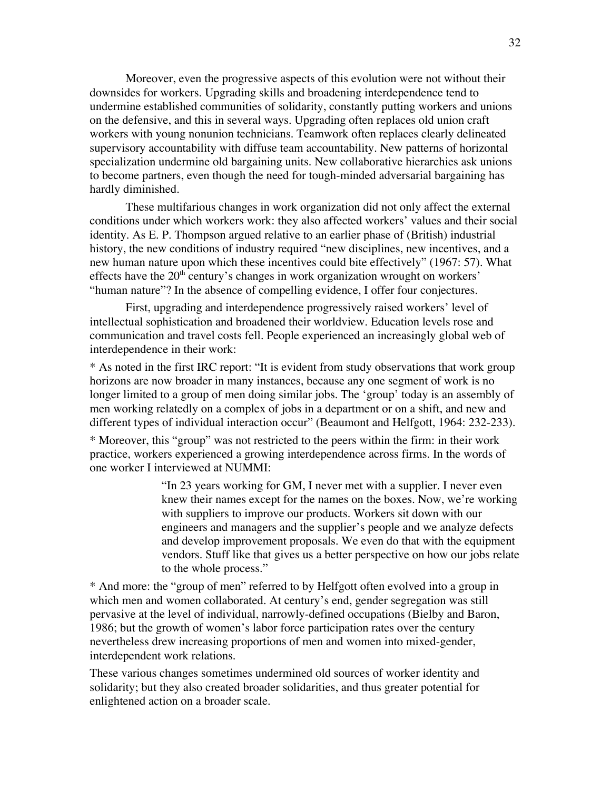Moreover, even the progressive aspects of this evolution were not without their downsides for workers. Upgrading skills and broadening interdependence tend to undermine established communities of solidarity, constantly putting workers and unions on the defensive, and this in several ways. Upgrading often replaces old union craft workers with young nonunion technicians. Teamwork often replaces clearly delineated supervisory accountability with diffuse team accountability. New patterns of horizontal specialization undermine old bargaining units. New collaborative hierarchies ask unions to become partners, even though the need for tough-minded adversarial bargaining has hardly diminished.

These multifarious changes in work organization did not only affect the external conditions under which workers work: they also affected workers' values and their social identity. As E. P. Thompson argued relative to an earlier phase of (British) industrial history, the new conditions of industry required "new disciplines, new incentives, and a new human nature upon which these incentives could bite effectively" (1967: 57). What effects have the  $20<sup>th</sup>$  century's changes in work organization wrought on workers' "human nature"? In the absence of compelling evidence, I offer four conjectures.

First, upgrading and interdependence progressively raised workers' level of intellectual sophistication and broadened their worldview. Education levels rose and communication and travel costs fell. People experienced an increasingly global web of interdependence in their work:

\* As noted in the first IRC report: "It is evident from study observations that work group horizons are now broader in many instances, because any one segment of work is no longer limited to a group of men doing similar jobs. The 'group' today is an assembly of men working relatedly on a complex of jobs in a department or on a shift, and new and different types of individual interaction occur" (Beaumont and Helfgott, 1964: 232-233).

\* Moreover, this "group" was not restricted to the peers within the firm: in their work practice, workers experienced a growing interdependence across firms. In the words of one worker I interviewed at NUMMI:

> "In 23 years working for GM, I never met with a supplier. I never even knew their names except for the names on the boxes. Now, we're working with suppliers to improve our products. Workers sit down with our engineers and managers and the supplier's people and we analyze defects and develop improvement proposals. We even do that with the equipment vendors. Stuff like that gives us a better perspective on how our jobs relate to the whole process."

\* And more: the "group of men" referred to by Helfgott often evolved into a group in which men and women collaborated. At century's end, gender segregation was still pervasive at the level of individual, narrowly-defined occupations (Bielby and Baron, 1986; but the growth of women's labor force participation rates over the century nevertheless drew increasing proportions of men and women into mixed-gender, interdependent work relations.

These various changes sometimes undermined old sources of worker identity and solidarity; but they also created broader solidarities, and thus greater potential for enlightened action on a broader scale.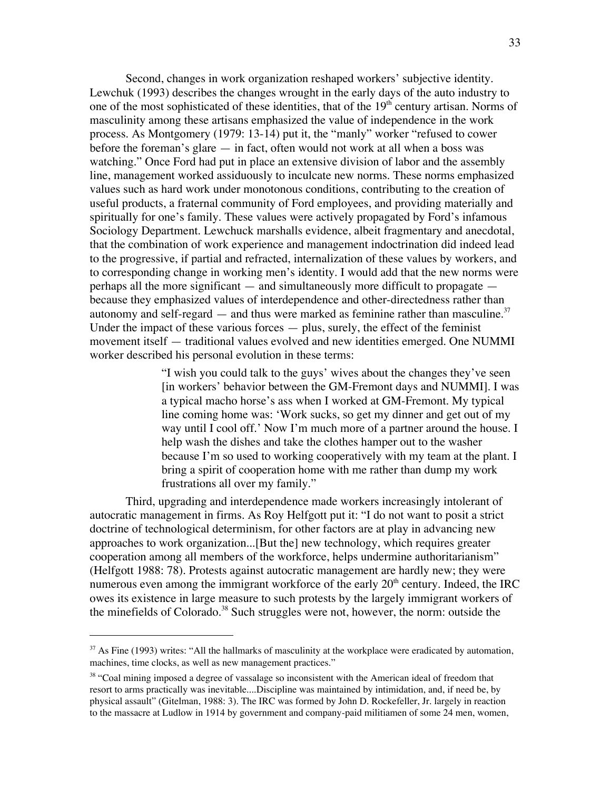Second, changes in work organization reshaped workers' subjective identity. Lewchuk (1993) describes the changes wrought in the early days of the auto industry to one of the most sophisticated of these identities, that of the  $19<sup>th</sup>$  century artisan. Norms of masculinity among these artisans emphasized the value of independence in the work process. As Montgomery (1979: 13-14) put it, the "manly" worker "refused to cower before the foreman's glare — in fact, often would not work at all when a boss was watching." Once Ford had put in place an extensive division of labor and the assembly line, management worked assiduously to inculcate new norms. These norms emphasized values such as hard work under monotonous conditions, contributing to the creation of useful products, a fraternal community of Ford employees, and providing materially and spiritually for one's family. These values were actively propagated by Ford's infamous Sociology Department. Lewchuck marshalls evidence, albeit fragmentary and anecdotal, that the combination of work experience and management indoctrination did indeed lead to the progressive, if partial and refracted, internalization of these values by workers, and to corresponding change in working men's identity. I would add that the new norms were perhaps all the more significant — and simultaneously more difficult to propagate because they emphasized values of interdependence and other-directedness rather than autonomy and self-regard  $-$  and thus were marked as feminine rather than masculine.<sup>37</sup> Under the impact of these various forces  $-$  plus, surely, the effect of the feminist movement itself — traditional values evolved and new identities emerged. One NUMMI worker described his personal evolution in these terms:

> "I wish you could talk to the guys' wives about the changes they've seen [in workers' behavior between the GM-Fremont days and NUMMI]. I was a typical macho horse's ass when I worked at GM-Fremont. My typical line coming home was: 'Work sucks, so get my dinner and get out of my way until I cool off.' Now I'm much more of a partner around the house. I help wash the dishes and take the clothes hamper out to the washer because I'm so used to working cooperatively with my team at the plant. I bring a spirit of cooperation home with me rather than dump my work frustrations all over my family."

Third, upgrading and interdependence made workers increasingly intolerant of autocratic management in firms. As Roy Helfgott put it: "I do not want to posit a strict doctrine of technological determinism, for other factors are at play in advancing new approaches to work organization...[But the] new technology, which requires greater cooperation among all members of the workforce, helps undermine authoritarianism" (Helfgott 1988: 78). Protests against autocratic management are hardly new; they were numerous even among the immigrant workforce of the early  $20<sup>th</sup>$  century. Indeed, the IRC owes its existence in large measure to such protests by the largely immigrant workers of the minefields of Colorado.<sup>38</sup> Such struggles were not, however, the norm: outside the

 $\overline{a}$ 

<sup>&</sup>lt;sup>37</sup> As Fine (1993) writes: "All the hallmarks of masculinity at the workplace were eradicated by automation, machines, time clocks, as well as new management practices."

<sup>&</sup>lt;sup>38</sup> "Coal mining imposed a degree of vassalage so inconsistent with the American ideal of freedom that resort to arms practically was inevitable....Discipline was maintained by intimidation, and, if need be, by physical assault" (Gitelman, 1988: 3). The IRC was formed by John D. Rockefeller, Jr. largely in reaction to the massacre at Ludlow in 1914 by government and company-paid militiamen of some 24 men, women,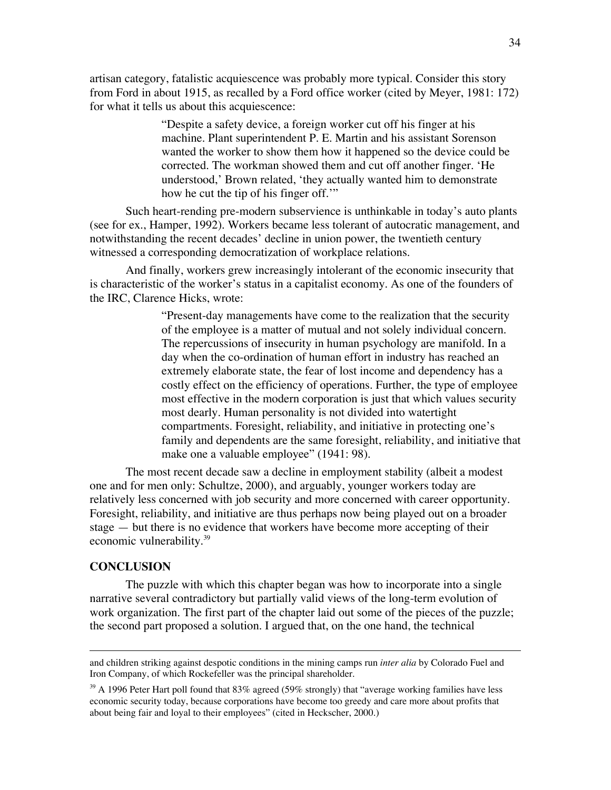artisan category, fatalistic acquiescence was probably more typical. Consider this story from Ford in about 1915, as recalled by a Ford office worker (cited by Meyer, 1981: 172) for what it tells us about this acquiescence:

> "Despite a safety device, a foreign worker cut off his finger at his machine. Plant superintendent P. E. Martin and his assistant Sorenson wanted the worker to show them how it happened so the device could be corrected. The workman showed them and cut off another finger. 'He understood,' Brown related, 'they actually wanted him to demonstrate how he cut the tip of his finger off."

Such heart-rending pre-modern subservience is unthinkable in today's auto plants (see for ex., Hamper, 1992). Workers became less tolerant of autocratic management, and notwithstanding the recent decades' decline in union power, the twentieth century witnessed a corresponding democratization of workplace relations.

And finally, workers grew increasingly intolerant of the economic insecurity that is characteristic of the worker's status in a capitalist economy. As one of the founders of the IRC, Clarence Hicks, wrote:

> "Present-day managements have come to the realization that the security of the employee is a matter of mutual and not solely individual concern. The repercussions of insecurity in human psychology are manifold. In a day when the co-ordination of human effort in industry has reached an extremely elaborate state, the fear of lost income and dependency has a costly effect on the efficiency of operations. Further, the type of employee most effective in the modern corporation is just that which values security most dearly. Human personality is not divided into watertight compartments. Foresight, reliability, and initiative in protecting one's family and dependents are the same foresight, reliability, and initiative that make one a valuable employee" (1941: 98).

The most recent decade saw a decline in employment stability (albeit a modest one and for men only: Schultze, 2000), and arguably, younger workers today are relatively less concerned with job security and more concerned with career opportunity. Foresight, reliability, and initiative are thus perhaps now being played out on a broader stage — but there is no evidence that workers have become more accepting of their economic vulnerability.<sup>39</sup>

## **CONCLUSION**

 $\overline{a}$ 

The puzzle with which this chapter began was how to incorporate into a single narrative several contradictory but partially valid views of the long-term evolution of work organization. The first part of the chapter laid out some of the pieces of the puzzle; the second part proposed a solution. I argued that, on the one hand, the technical

and children striking against despotic conditions in the mining camps run *inter alia* by Colorado Fuel and Iron Company, of which Rockefeller was the principal shareholder.

 $39$  A 1996 Peter Hart poll found that 83% agreed (59% strongly) that "average working families have less economic security today, because corporations have become too greedy and care more about profits that about being fair and loyal to their employees" (cited in Heckscher, 2000.)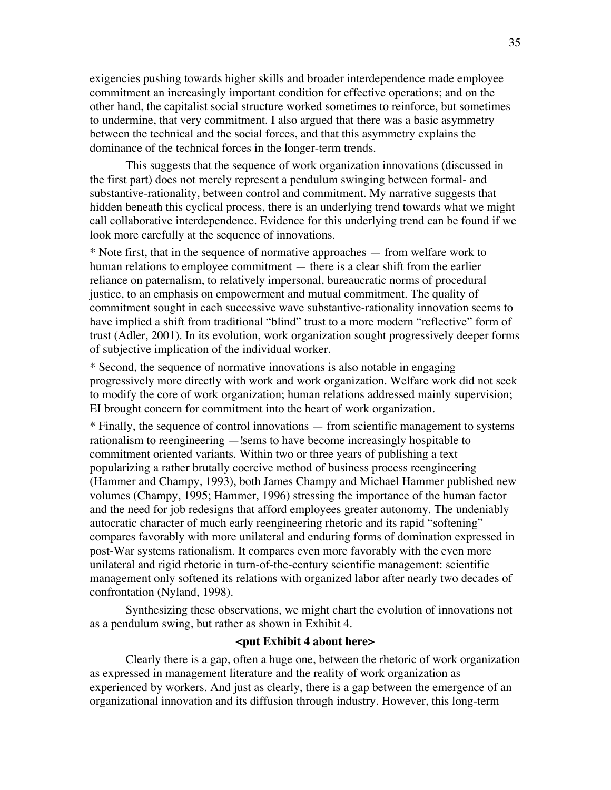exigencies pushing towards higher skills and broader interdependence made employee commitment an increasingly important condition for effective operations; and on the other hand, the capitalist social structure worked sometimes to reinforce, but sometimes to undermine, that very commitment. I also argued that there was a basic asymmetry between the technical and the social forces, and that this asymmetry explains the dominance of the technical forces in the longer-term trends.

This suggests that the sequence of work organization innovations (discussed in the first part) does not merely represent a pendulum swinging between formal- and substantive-rationality, between control and commitment. My narrative suggests that hidden beneath this cyclical process, there is an underlying trend towards what we might call collaborative interdependence. Evidence for this underlying trend can be found if we look more carefully at the sequence of innovations.

\* Note first, that in the sequence of normative approaches — from welfare work to human relations to employee commitment — there is a clear shift from the earlier reliance on paternalism, to relatively impersonal, bureaucratic norms of procedural justice, to an emphasis on empowerment and mutual commitment. The quality of commitment sought in each successive wave substantive-rationality innovation seems to have implied a shift from traditional "blind" trust to a more modern "reflective" form of trust (Adler, 2001). In its evolution, work organization sought progressively deeper forms of subjective implication of the individual worker.

\* Second, the sequence of normative innovations is also notable in engaging progressively more directly with work and work organization. Welfare work did not seek to modify the core of work organization; human relations addressed mainly supervision; EI brought concern for commitment into the heart of work organization.

\* Finally, the sequence of control innovations — from scientific management to systems rationalism to reengineering —!sems to have become increasingly hospitable to commitment oriented variants. Within two or three years of publishing a text popularizing a rather brutally coercive method of business process reengineering (Hammer and Champy, 1993), both James Champy and Michael Hammer published new volumes (Champy, 1995; Hammer, 1996) stressing the importance of the human factor and the need for job redesigns that afford employees greater autonomy. The undeniably autocratic character of much early reengineering rhetoric and its rapid "softening" compares favorably with more unilateral and enduring forms of domination expressed in post-War systems rationalism. It compares even more favorably with the even more unilateral and rigid rhetoric in turn-of-the-century scientific management: scientific management only softened its relations with organized labor after nearly two decades of confrontation (Nyland, 1998).

Synthesizing these observations, we might chart the evolution of innovations not as a pendulum swing, but rather as shown in Exhibit 4.

## **<put Exhibit 4 about here>**

Clearly there is a gap, often a huge one, between the rhetoric of work organization as expressed in management literature and the reality of work organization as experienced by workers. And just as clearly, there is a gap between the emergence of an organizational innovation and its diffusion through industry. However, this long-term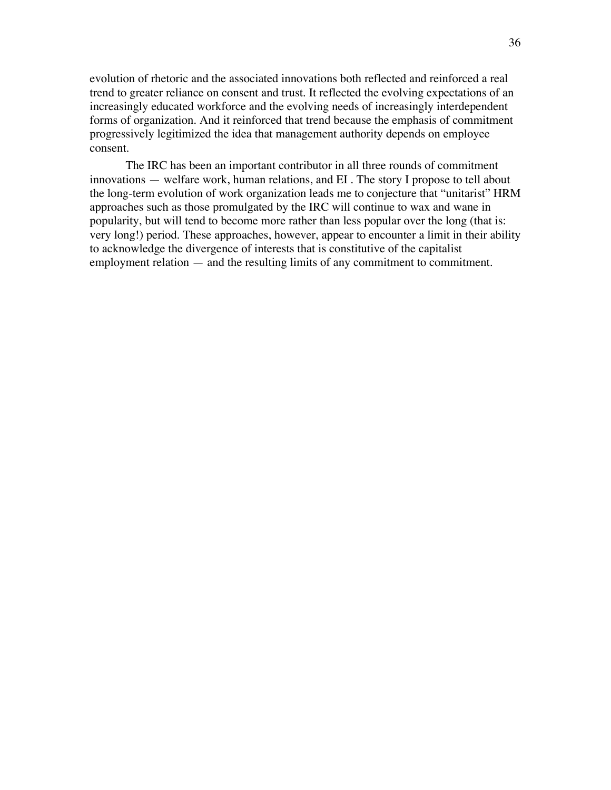evolution of rhetoric and the associated innovations both reflected and reinforced a real trend to greater reliance on consent and trust. It reflected the evolving expectations of an increasingly educated workforce and the evolving needs of increasingly interdependent forms of organization. And it reinforced that trend because the emphasis of commitment progressively legitimized the idea that management authority depends on employee consent.

The IRC has been an important contributor in all three rounds of commitment innovations — welfare work, human relations, and EI . The story I propose to tell about the long-term evolution of work organization leads me to conjecture that "unitarist" HRM approaches such as those promulgated by the IRC will continue to wax and wane in popularity, but will tend to become more rather than less popular over the long (that is: very long!) period. These approaches, however, appear to encounter a limit in their ability to acknowledge the divergence of interests that is constitutive of the capitalist employment relation — and the resulting limits of any commitment to commitment.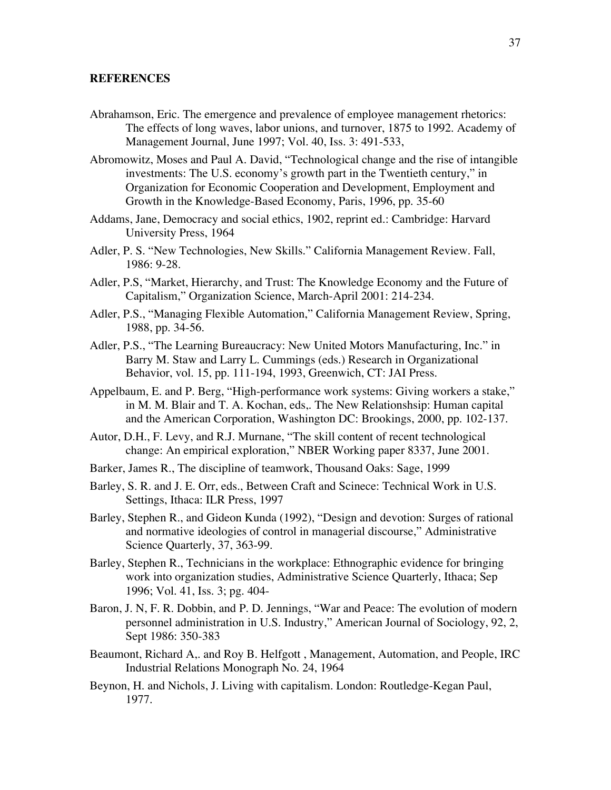## **REFERENCES**

- Abrahamson, Eric. The emergence and prevalence of employee management rhetorics: The effects of long waves, labor unions, and turnover, 1875 to 1992. Academy of Management Journal, June 1997; Vol. 40, Iss. 3: 491-533,
- Abromowitz, Moses and Paul A. David, "Technological change and the rise of intangible investments: The U.S. economy's growth part in the Twentieth century," in Organization for Economic Cooperation and Development, Employment and Growth in the Knowledge-Based Economy, Paris, 1996, pp. 35-60
- Addams, Jane, Democracy and social ethics, 1902, reprint ed.: Cambridge: Harvard University Press, 1964
- Adler, P. S. "New Technologies, New Skills." California Management Review. Fall, 1986: 9-28.
- Adler, P.S, "Market, Hierarchy, and Trust: The Knowledge Economy and the Future of Capitalism," Organization Science, March-April 2001: 214-234.
- Adler, P.S., "Managing Flexible Automation," California Management Review, Spring, 1988, pp. 34-56.
- Adler, P.S., "The Learning Bureaucracy: New United Motors Manufacturing, Inc." in Barry M. Staw and Larry L. Cummings (eds.) Research in Organizational Behavior, vol. 15, pp. 111-194, 1993, Greenwich, CT: JAI Press.
- Appelbaum, E. and P. Berg, "High-performance work systems: Giving workers a stake," in M. M. Blair and T. A. Kochan, eds,. The New Relationshsip: Human capital and the American Corporation, Washington DC: Brookings, 2000, pp. 102-137.
- Autor, D.H., F. Levy, and R.J. Murnane, "The skill content of recent technological change: An empirical exploration," NBER Working paper 8337, June 2001.
- Barker, James R., The discipline of teamwork, Thousand Oaks: Sage, 1999
- Barley, S. R. and J. E. Orr, eds., Between Craft and Scinece: Technical Work in U.S. Settings, Ithaca: ILR Press, 1997
- Barley, Stephen R., and Gideon Kunda (1992), "Design and devotion: Surges of rational and normative ideologies of control in managerial discourse," Administrative Science Quarterly, 37, 363-99.
- Barley, Stephen R., Technicians in the workplace: Ethnographic evidence for bringing work into organization studies, Administrative Science Quarterly, Ithaca; Sep 1996; Vol. 41, Iss. 3; pg. 404-
- Baron, J. N, F. R. Dobbin, and P. D. Jennings, "War and Peace: The evolution of modern personnel administration in U.S. Industry," American Journal of Sociology, 92, 2, Sept 1986: 350-383
- Beaumont, Richard A,. and Roy B. Helfgott , Management, Automation, and People, IRC Industrial Relations Monograph No. 24, 1964
- Beynon, H. and Nichols, J. Living with capitalism. London: Routledge-Kegan Paul, 1977.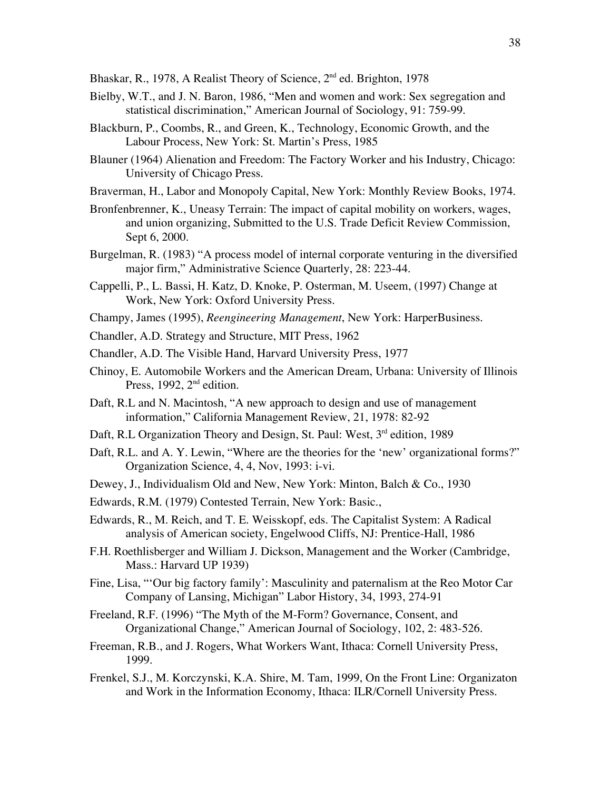Bhaskar, R., 1978, A Realist Theory of Science, 2<sup>nd</sup> ed. Brighton, 1978

- Bielby, W.T., and J. N. Baron, 1986, "Men and women and work: Sex segregation and statistical discrimination," American Journal of Sociology, 91: 759-99.
- Blackburn, P., Coombs, R., and Green, K., Technology, Economic Growth, and the Labour Process, New York: St. Martin's Press, 1985
- Blauner (1964) Alienation and Freedom: The Factory Worker and his Industry, Chicago: University of Chicago Press.
- Braverman, H., Labor and Monopoly Capital, New York: Monthly Review Books, 1974.
- Bronfenbrenner, K., Uneasy Terrain: The impact of capital mobility on workers, wages, and union organizing, Submitted to the U.S. Trade Deficit Review Commission, Sept 6, 2000.
- Burgelman, R. (1983) "A process model of internal corporate venturing in the diversified major firm," Administrative Science Quarterly, 28: 223-44.
- Cappelli, P., L. Bassi, H. Katz, D. Knoke, P. Osterman, M. Useem, (1997) Change at Work, New York: Oxford University Press.
- Champy, James (1995), *Reengineering Management*, New York: HarperBusiness.
- Chandler, A.D. Strategy and Structure, MIT Press, 1962
- Chandler, A.D. The Visible Hand, Harvard University Press, 1977
- Chinoy, E. Automobile Workers and the American Dream, Urbana: University of Illinois Press, 1992,  $2<sup>nd</sup>$  edition.
- Daft, R.L and N. Macintosh, "A new approach to design and use of management information," California Management Review, 21, 1978: 82-92
- Daft, R.L Organization Theory and Design, St. Paul: West, 3<sup>rd</sup> edition, 1989
- Daft, R.L. and A. Y. Lewin, "Where are the theories for the 'new' organizational forms?" Organization Science, 4, 4, Nov, 1993: i-vi.
- Dewey, J., Individualism Old and New, New York: Minton, Balch & Co., 1930
- Edwards, R.M. (1979) Contested Terrain, New York: Basic.,
- Edwards, R., M. Reich, and T. E. Weisskopf, eds. The Capitalist System: A Radical analysis of American society, Engelwood Cliffs, NJ: Prentice-Hall, 1986
- F.H. Roethlisberger and William J. Dickson, Management and the Worker (Cambridge, Mass.: Harvard UP 1939)
- Fine, Lisa, "'Our big factory family': Masculinity and paternalism at the Reo Motor Car Company of Lansing, Michigan" Labor History, 34, 1993, 274-91
- Freeland, R.F. (1996) "The Myth of the M-Form? Governance, Consent, and Organizational Change," American Journal of Sociology, 102, 2: 483-526.
- Freeman, R.B., and J. Rogers, What Workers Want, Ithaca: Cornell University Press, 1999.
- Frenkel, S.J., M. Korczynski, K.A. Shire, M. Tam, 1999, On the Front Line: Organizaton and Work in the Information Economy, Ithaca: ILR/Cornell University Press.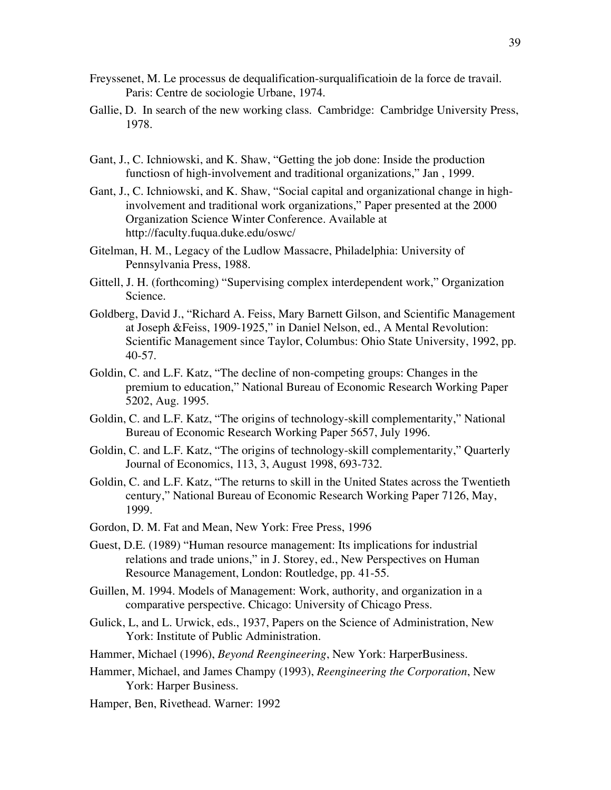- Freyssenet, M. Le processus de dequalification-surqualificatioin de la force de travail. Paris: Centre de sociologie Urbane, 1974.
- Gallie, D. In search of the new working class. Cambridge: Cambridge University Press, 1978.
- Gant, J., C. Ichniowski, and K. Shaw, "Getting the job done: Inside the production functiosn of high-involvement and traditional organizations," Jan , 1999.
- Gant, J., C. Ichniowski, and K. Shaw, "Social capital and organizational change in highinvolvement and traditional work organizations," Paper presented at the 2000 Organization Science Winter Conference. Available at http://faculty.fuqua.duke.edu/oswc/
- Gitelman, H. M., Legacy of the Ludlow Massacre, Philadelphia: University of Pennsylvania Press, 1988.
- Gittell, J. H. (forthcoming) "Supervising complex interdependent work," Organization Science.
- Goldberg, David J., "Richard A. Feiss, Mary Barnett Gilson, and Scientific Management at Joseph &Feiss, 1909-1925," in Daniel Nelson, ed., A Mental Revolution: Scientific Management since Taylor, Columbus: Ohio State University, 1992, pp. 40-57.
- Goldin, C. and L.F. Katz, "The decline of non-competing groups: Changes in the premium to education," National Bureau of Economic Research Working Paper 5202, Aug. 1995.
- Goldin, C. and L.F. Katz, "The origins of technology-skill complementarity," National Bureau of Economic Research Working Paper 5657, July 1996.
- Goldin, C. and L.F. Katz, "The origins of technology-skill complementarity," Quarterly Journal of Economics, 113, 3, August 1998, 693-732.
- Goldin, C. and L.F. Katz, "The returns to skill in the United States across the Twentieth century," National Bureau of Economic Research Working Paper 7126, May, 1999.
- Gordon, D. M. Fat and Mean, New York: Free Press, 1996
- Guest, D.E. (1989) "Human resource management: Its implications for industrial relations and trade unions," in J. Storey, ed., New Perspectives on Human Resource Management, London: Routledge, pp. 41-55.
- Guillen, M. 1994. Models of Management: Work, authority, and organization in a comparative perspective. Chicago: University of Chicago Press.
- Gulick, L, and L. Urwick, eds., 1937, Papers on the Science of Administration, New York: Institute of Public Administration.
- Hammer, Michael (1996), *Beyond Reengineering*, New York: HarperBusiness.
- Hammer, Michael, and James Champy (1993), *Reengineering the Corporation*, New York: Harper Business.
- Hamper, Ben, Rivethead. Warner: 1992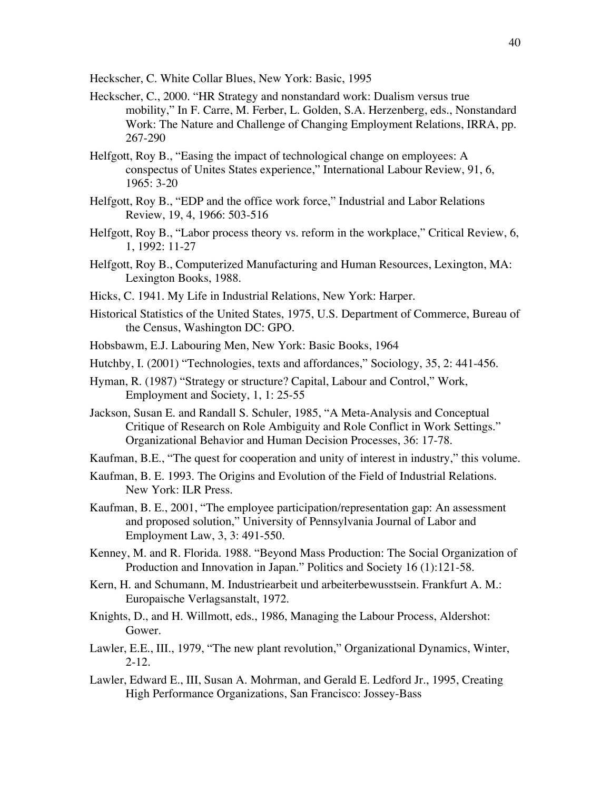Heckscher, C. White Collar Blues, New York: Basic, 1995

- Heckscher, C., 2000. "HR Strategy and nonstandard work: Dualism versus true mobility," In F. Carre, M. Ferber, L. Golden, S.A. Herzenberg, eds., Nonstandard Work: The Nature and Challenge of Changing Employment Relations, IRRA, pp. 267-290
- Helfgott, Roy B., "Easing the impact of technological change on employees: A conspectus of Unites States experience," International Labour Review, 91, 6, 1965: 3-20
- Helfgott, Roy B., "EDP and the office work force," Industrial and Labor Relations Review, 19, 4, 1966: 503-516
- Helfgott, Roy B., "Labor process theory vs. reform in the workplace," Critical Review, 6, 1, 1992: 11-27
- Helfgott, Roy B., Computerized Manufacturing and Human Resources, Lexington, MA: Lexington Books, 1988.
- Hicks, C. 1941. My Life in Industrial Relations, New York: Harper.
- Historical Statistics of the United States, 1975, U.S. Department of Commerce, Bureau of the Census, Washington DC: GPO.
- Hobsbawm, E.J. Labouring Men, New York: Basic Books, 1964
- Hutchby, I. (2001) "Technologies, texts and affordances," Sociology, 35, 2: 441-456.
- Hyman, R. (1987) "Strategy or structure? Capital, Labour and Control," Work, Employment and Society, 1, 1: 25-55
- Jackson, Susan E. and Randall S. Schuler, 1985, "A Meta-Analysis and Conceptual Critique of Research on Role Ambiguity and Role Conflict in Work Settings." Organizational Behavior and Human Decision Processes, 36: 17-78.
- Kaufman, B.E., "The quest for cooperation and unity of interest in industry," this volume.
- Kaufman, B. E. 1993. The Origins and Evolution of the Field of Industrial Relations. New York: ILR Press.
- Kaufman, B. E., 2001, "The employee participation/representation gap: An assessment and proposed solution," University of Pennsylvania Journal of Labor and Employment Law, 3, 3: 491-550.
- Kenney, M. and R. Florida. 1988. "Beyond Mass Production: The Social Organization of Production and Innovation in Japan." Politics and Society 16 (1):121-58.
- Kern, H. and Schumann, M. Industriearbeit und arbeiterbewusstsein. Frankfurt A. M.: Europaische Verlagsanstalt, 1972.
- Knights, D., and H. Willmott, eds., 1986, Managing the Labour Process, Aldershot: Gower.
- Lawler, E.E., III., 1979, "The new plant revolution," Organizational Dynamics, Winter, 2-12.
- Lawler, Edward E., III, Susan A. Mohrman, and Gerald E. Ledford Jr., 1995, Creating High Performance Organizations, San Francisco: Jossey-Bass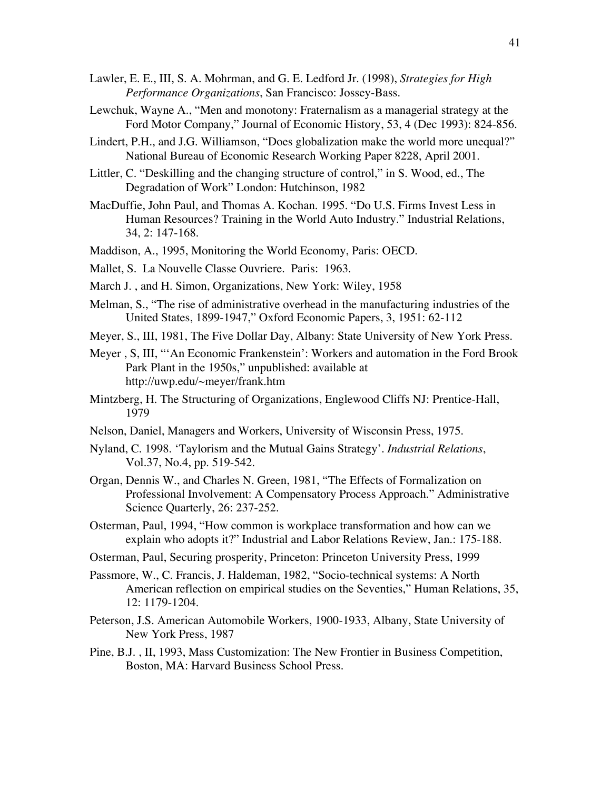- Lawler, E. E., III, S. A. Mohrman, and G. E. Ledford Jr. (1998), *Strategies for High Performance Organizations*, San Francisco: Jossey-Bass.
- Lewchuk, Wayne A., "Men and monotony: Fraternalism as a managerial strategy at the Ford Motor Company," Journal of Economic History, 53, 4 (Dec 1993): 824-856.
- Lindert, P.H., and J.G. Williamson, "Does globalization make the world more unequal?" National Bureau of Economic Research Working Paper 8228, April 2001.
- Littler, C. "Deskilling and the changing structure of control," in S. Wood, ed., The Degradation of Work" London: Hutchinson, 1982
- MacDuffie, John Paul, and Thomas A. Kochan. 1995. "Do U.S. Firms Invest Less in Human Resources? Training in the World Auto Industry." Industrial Relations, 34, 2: 147-168.
- Maddison, A., 1995, Monitoring the World Economy, Paris: OECD.
- Mallet, S. La Nouvelle Classe Ouvriere. Paris: 1963.
- March J. , and H. Simon, Organizations, New York: Wiley, 1958
- Melman, S., "The rise of administrative overhead in the manufacturing industries of the United States, 1899-1947," Oxford Economic Papers, 3, 1951: 62-112
- Meyer, S., III, 1981, The Five Dollar Day, Albany: State University of New York Press.
- Meyer , S, III, "'An Economic Frankenstein': Workers and automation in the Ford Brook Park Plant in the 1950s," unpublished: available at http://uwp.edu/~meyer/frank.htm
- Mintzberg, H. The Structuring of Organizations, Englewood Cliffs NJ: Prentice-Hall, 1979
- Nelson, Daniel, Managers and Workers, University of Wisconsin Press, 1975.
- Nyland, C. 1998. 'Taylorism and the Mutual Gains Strategy'. *Industrial Relations*, Vol.37, No.4, pp. 519-542.
- Organ, Dennis W., and Charles N. Green, 1981, "The Effects of Formalization on Professional Involvement: A Compensatory Process Approach." Administrative Science Quarterly, 26: 237-252.
- Osterman, Paul, 1994, "How common is workplace transformation and how can we explain who adopts it?" Industrial and Labor Relations Review, Jan.: 175-188.
- Osterman, Paul, Securing prosperity, Princeton: Princeton University Press, 1999
- Passmore, W., C. Francis, J. Haldeman, 1982, "Socio-technical systems: A North American reflection on empirical studies on the Seventies," Human Relations, 35, 12: 1179-1204.
- Peterson, J.S. American Automobile Workers, 1900-1933, Albany, State University of New York Press, 1987
- Pine, B.J. , II, 1993, Mass Customization: The New Frontier in Business Competition, Boston, MA: Harvard Business School Press.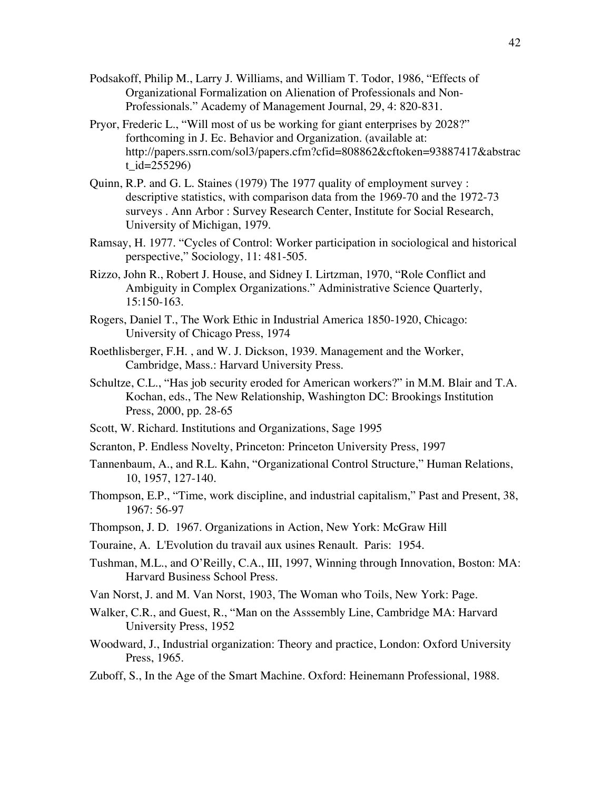- Podsakoff, Philip M., Larry J. Williams, and William T. Todor, 1986, "Effects of Organizational Formalization on Alienation of Professionals and Non-Professionals." Academy of Management Journal, 29, 4: 820-831.
- Pryor, Frederic L., "Will most of us be working for giant enterprises by 2028?" forthcoming in J. Ec. Behavior and Organization. (available at: http://papers.ssrn.com/sol3/papers.cfm?cfid=808862&cftoken=93887417&abstrac t\_id=255296)
- Quinn, R.P. and G. L. Staines (1979) The 1977 quality of employment survey : descriptive statistics, with comparison data from the 1969-70 and the 1972-73 surveys . Ann Arbor : Survey Research Center, Institute for Social Research, University of Michigan, 1979.
- Ramsay, H. 1977. "Cycles of Control: Worker participation in sociological and historical perspective," Sociology, 11: 481-505.
- Rizzo, John R., Robert J. House, and Sidney I. Lirtzman, 1970, "Role Conflict and Ambiguity in Complex Organizations." Administrative Science Quarterly, 15:150-163.
- Rogers, Daniel T., The Work Ethic in Industrial America 1850-1920, Chicago: University of Chicago Press, 1974
- Roethlisberger, F.H. , and W. J. Dickson, 1939. Management and the Worker, Cambridge, Mass.: Harvard University Press.
- Schultze, C.L., "Has job security eroded for American workers?" in M.M. Blair and T.A. Kochan, eds., The New Relationship, Washington DC: Brookings Institution Press, 2000, pp. 28-65
- Scott, W. Richard. Institutions and Organizations, Sage 1995
- Scranton, P. Endless Novelty, Princeton: Princeton University Press, 1997
- Tannenbaum, A., and R.L. Kahn, "Organizational Control Structure," Human Relations, 10, 1957, 127-140.
- Thompson, E.P., "Time, work discipline, and industrial capitalism," Past and Present, 38, 1967: 56-97
- Thompson, J. D. 1967. Organizations in Action, New York: McGraw Hill
- Touraine, A. L'Evolution du travail aux usines Renault. Paris: 1954.
- Tushman, M.L., and O'Reilly, C.A., III, 1997, Winning through Innovation, Boston: MA: Harvard Business School Press.
- Van Norst, J. and M. Van Norst, 1903, The Woman who Toils, New York: Page.
- Walker, C.R., and Guest, R., "Man on the Asssembly Line, Cambridge MA: Harvard University Press, 1952
- Woodward, J., Industrial organization: Theory and practice, London: Oxford University Press, 1965.
- Zuboff, S., In the Age of the Smart Machine. Oxford: Heinemann Professional, 1988.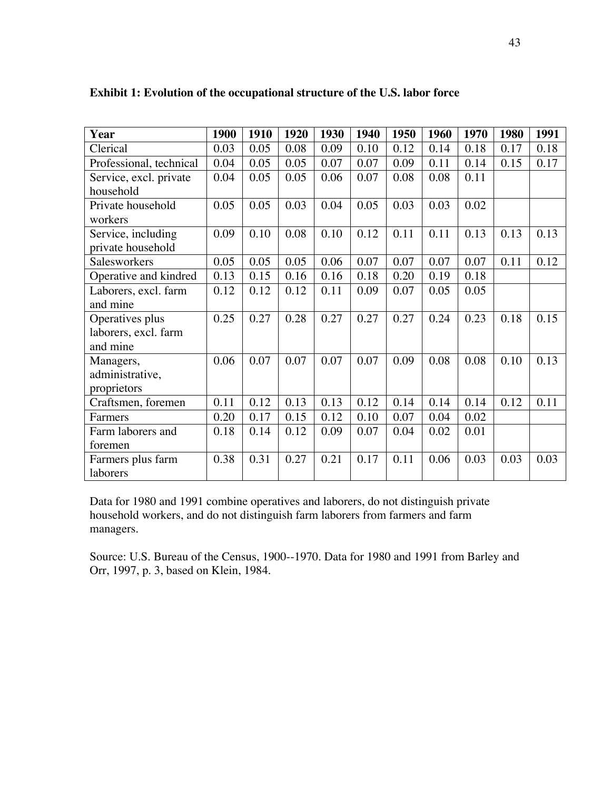| Year                    | 1900 | 1910 | 1920 | 1930 | 1940 | 1950 | 1960 | 1970 | 1980 | 1991 |
|-------------------------|------|------|------|------|------|------|------|------|------|------|
| Clerical                | 0.03 | 0.05 | 0.08 | 0.09 | 0.10 | 0.12 | 0.14 | 0.18 | 0.17 | 0.18 |
| Professional, technical | 0.04 | 0.05 | 0.05 | 0.07 | 0.07 | 0.09 | 0.11 | 0.14 | 0.15 | 0.17 |
| Service, excl. private  | 0.04 | 0.05 | 0.05 | 0.06 | 0.07 | 0.08 | 0.08 | 0.11 |      |      |
| household               |      |      |      |      |      |      |      |      |      |      |
| Private household       | 0.05 | 0.05 | 0.03 | 0.04 | 0.05 | 0.03 | 0.03 | 0.02 |      |      |
| workers                 |      |      |      |      |      |      |      |      |      |      |
| Service, including      | 0.09 | 0.10 | 0.08 | 0.10 | 0.12 | 0.11 | 0.11 | 0.13 | 0.13 | 0.13 |
| private household       |      |      |      |      |      |      |      |      |      |      |
| Salesworkers            | 0.05 | 0.05 | 0.05 | 0.06 | 0.07 | 0.07 | 0.07 | 0.07 | 0.11 | 0.12 |
| Operative and kindred   | 0.13 | 0.15 | 0.16 | 0.16 | 0.18 | 0.20 | 0.19 | 0.18 |      |      |
| Laborers, excl. farm    | 0.12 | 0.12 | 0.12 | 0.11 | 0.09 | 0.07 | 0.05 | 0.05 |      |      |
| and mine                |      |      |      |      |      |      |      |      |      |      |
| Operatives plus         | 0.25 | 0.27 | 0.28 | 0.27 | 0.27 | 0.27 | 0.24 | 0.23 | 0.18 | 0.15 |
| laborers, excl. farm    |      |      |      |      |      |      |      |      |      |      |
| and mine                |      |      |      |      |      |      |      |      |      |      |
| Managers,               | 0.06 | 0.07 | 0.07 | 0.07 | 0.07 | 0.09 | 0.08 | 0.08 | 0.10 | 0.13 |
| administrative,         |      |      |      |      |      |      |      |      |      |      |
| proprietors             |      |      |      |      |      |      |      |      |      |      |
| Craftsmen, foremen      | 0.11 | 0.12 | 0.13 | 0.13 | 0.12 | 0.14 | 0.14 | 0.14 | 0.12 | 0.11 |
| Farmers                 | 0.20 | 0.17 | 0.15 | 0.12 | 0.10 | 0.07 | 0.04 | 0.02 |      |      |
| Farm laborers and       | 0.18 | 0.14 | 0.12 | 0.09 | 0.07 | 0.04 | 0.02 | 0.01 |      |      |
| foremen                 |      |      |      |      |      |      |      |      |      |      |
| Farmers plus farm       | 0.38 | 0.31 | 0.27 | 0.21 | 0.17 | 0.11 | 0.06 | 0.03 | 0.03 | 0.03 |
| laborers                |      |      |      |      |      |      |      |      |      |      |

## **Exhibit 1: Evolution of the occupational structure of the U.S. labor force**

Data for 1980 and 1991 combine operatives and laborers, do not distinguish private household workers, and do not distinguish farm laborers from farmers and farm managers.

Source: U.S. Bureau of the Census, 1900--1970. Data for 1980 and 1991 from Barley and Orr, 1997, p. 3, based on Klein, 1984.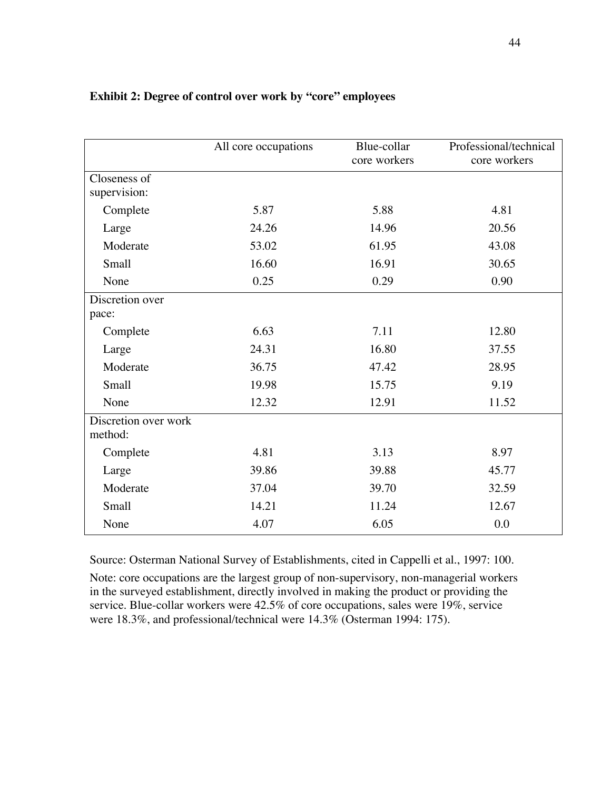|                                 | All core occupations | Blue-collar<br>core workers | Professional/technical<br>core workers |  |  |
|---------------------------------|----------------------|-----------------------------|----------------------------------------|--|--|
| Closeness of                    |                      |                             |                                        |  |  |
| supervision:                    |                      |                             |                                        |  |  |
| Complete                        | 5.87                 | 5.88                        | 4.81                                   |  |  |
| Large                           | 24.26                | 14.96                       | 20.56                                  |  |  |
| Moderate                        | 53.02                | 61.95                       | 43.08                                  |  |  |
| Small                           | 16.60                | 16.91                       | 30.65                                  |  |  |
| None                            | 0.25                 | 0.29                        | 0.90                                   |  |  |
| Discretion over<br>pace:        |                      |                             |                                        |  |  |
| Complete                        | 6.63                 | 7.11                        | 12.80                                  |  |  |
| Large                           | 24.31                | 16.80                       | 37.55                                  |  |  |
| Moderate                        | 36.75                | 47.42                       | 28.95                                  |  |  |
| Small                           | 19.98                | 15.75                       | 9.19                                   |  |  |
| None                            | 12.32                | 12.91                       | 11.52                                  |  |  |
| Discretion over work<br>method: |                      |                             |                                        |  |  |
| Complete                        | 4.81                 | 3.13                        | 8.97                                   |  |  |
| Large                           | 39.86                | 39.88                       | 45.77                                  |  |  |
| Moderate                        | 37.04                | 39.70                       | 32.59                                  |  |  |
| Small                           | 14.21                | 11.24                       | 12.67                                  |  |  |
| None                            | 4.07                 | 6.05                        | 0.0                                    |  |  |

## **Exhibit 2: Degree of control over work by "core" employees**

Source: Osterman National Survey of Establishments, cited in Cappelli et al., 1997: 100.

Note: core occupations are the largest group of non-supervisory, non-managerial workers in the surveyed establishment, directly involved in making the product or providing the service. Blue-collar workers were 42.5% of core occupations, sales were 19%, service were 18.3%, and professional/technical were 14.3% (Osterman 1994: 175).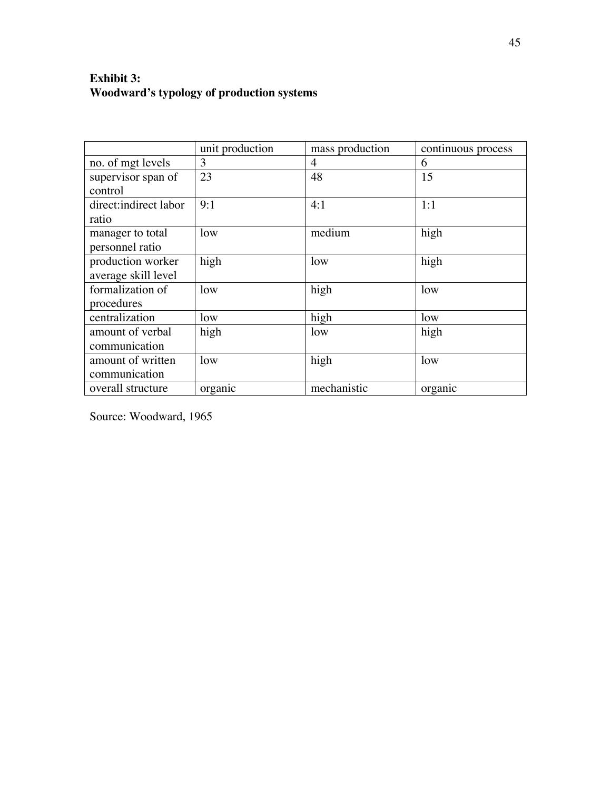## **Exhibit 3: Woodward's typology of production systems**

|                       | unit production | mass production | continuous process |
|-----------------------|-----------------|-----------------|--------------------|
| no. of mgt levels     | 3               | $\overline{4}$  | 6                  |
| supervisor span of    | 23              | 48              | 15                 |
| control               |                 |                 |                    |
| direct:indirect labor | 9:1             | 4:1             | 1:1                |
| ratio                 |                 |                 |                    |
| manager to total      | low             | medium          | high               |
| personnel ratio       |                 |                 |                    |
| production worker     | high            | low             | high               |
| average skill level   |                 |                 |                    |
| formalization of      | low             | high            | low                |
| procedures            |                 |                 |                    |
| centralization        | low             | high            | low                |
| amount of verbal      | high            | low             | high               |
| communication         |                 |                 |                    |
| amount of written     | low             | high            | low                |
| communication         |                 |                 |                    |
| overall structure     | organic         | mechanistic     | organic            |

Source: Woodward, 1965